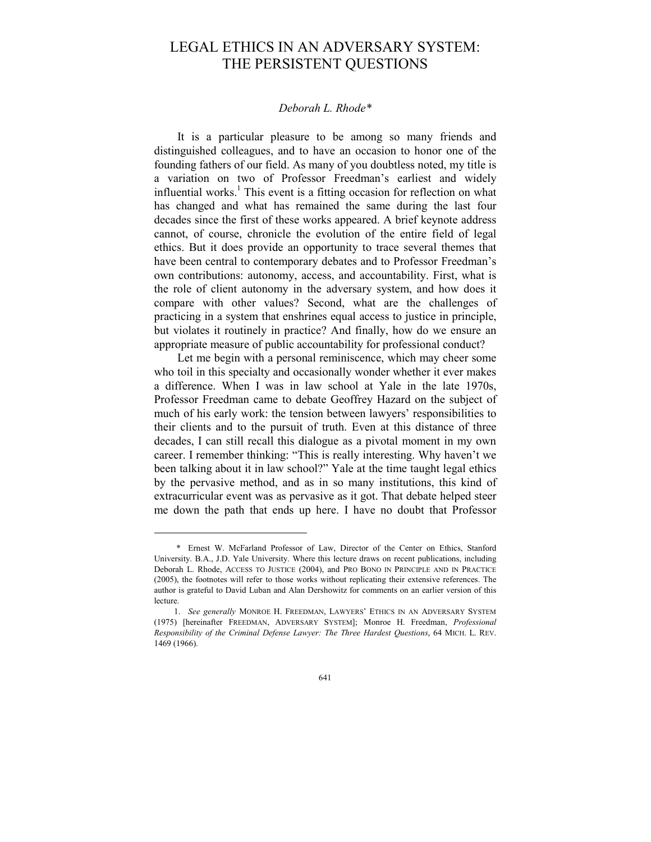# LEGAL ETHICS IN AN ADVERSARY SYSTEM: THE PERSISTENT QUESTIONS

### *Deborah L. Rhode\**

It is a particular pleasure to be among so many friends and distinguished colleagues, and to have an occasion to honor one of the founding fathers of our field. As many of you doubtless noted, my title is a variation on two of Professor Freedman's earliest and widely influential works.<sup>1</sup> This event is a fitting occasion for reflection on what has changed and what has remained the same during the last four decades since the first of these works appeared. A brief keynote address cannot, of course, chronicle the evolution of the entire field of legal ethics. But it does provide an opportunity to trace several themes that have been central to contemporary debates and to Professor Freedman's own contributions: autonomy, access, and accountability. First, what is the role of client autonomy in the adversary system, and how does it compare with other values? Second, what are the challenges of practicing in a system that enshrines equal access to justice in principle, but violates it routinely in practice? And finally, how do we ensure an appropriate measure of public accountability for professional conduct?

Let me begin with a personal reminiscence, which may cheer some who toil in this specialty and occasionally wonder whether it ever makes a difference. When I was in law school at Yale in the late 1970s, Professor Freedman came to debate Geoffrey Hazard on the subject of much of his early work: the tension between lawyers' responsibilities to their clients and to the pursuit of truth. Even at this distance of three decades, I can still recall this dialogue as a pivotal moment in my own career. I remember thinking: "This is really interesting. Why haven't we been talking about it in law school?" Yale at the time taught legal ethics by the pervasive method, and as in so many institutions, this kind of extracurricular event was as pervasive as it got. That debate helped steer me down the path that ends up here. I have no doubt that Professor

-

641

 <sup>\*</sup> Ernest W. McFarland Professor of Law, Director of the Center on Ethics, Stanford University. B.A., J.D. Yale University. Where this lecture draws on recent publications, including Deborah L. Rhode, ACCESS TO JUSTICE (2004), and PRO BONO IN PRINCIPLE AND IN PRACTICE (2005), the footnotes will refer to those works without replicating their extensive references. The author is grateful to David Luban and Alan Dershowitz for comments on an earlier version of this lecture.

 <sup>1.</sup> *See generally* MONROE H. FREEDMAN, LAWYERS' ETHICS IN AN ADVERSARY SYSTEM (1975) [hereinafter FREEDMAN, ADVERSARY SYSTEM]; Monroe H. Freedman, *Professional Responsibility of the Criminal Defense Lawyer: The Three Hardest Questions*, 64 MICH. L. REV. 1469 (1966).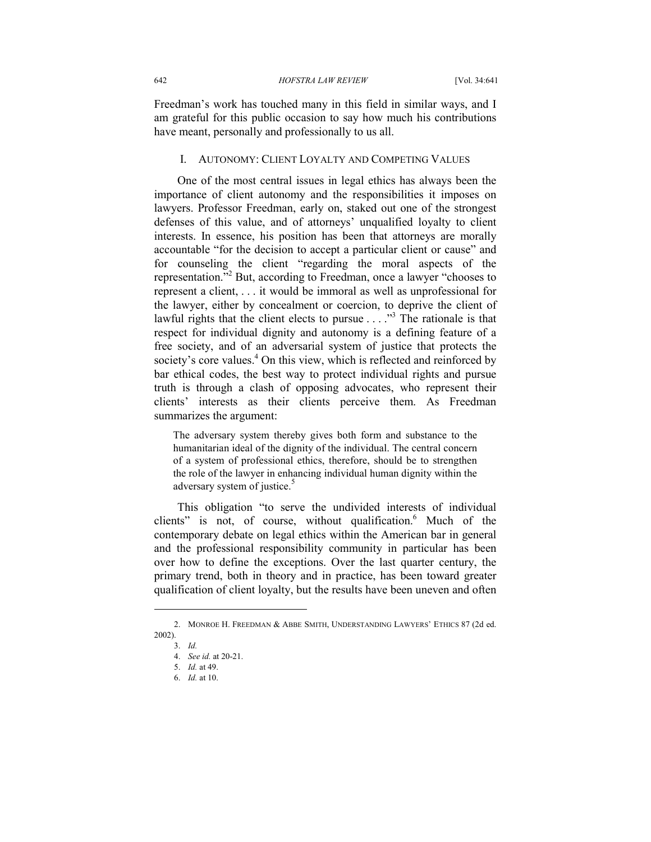Freedman's work has touched many in this field in similar ways, and I am grateful for this public occasion to say how much his contributions have meant, personally and professionally to us all.

#### I. AUTONOMY: CLIENT LOYALTY AND COMPETING VALUES

One of the most central issues in legal ethics has always been the importance of client autonomy and the responsibilities it imposes on lawyers. Professor Freedman, early on, staked out one of the strongest defenses of this value, and of attorneys' unqualified loyalty to client interests. In essence, his position has been that attorneys are morally accountable "for the decision to accept a particular client or cause" and for counseling the client "regarding the moral aspects of the representation."<sup>2</sup> But, according to Freedman, once a lawyer "chooses to represent a client, . . . it would be immoral as well as unprofessional for the lawyer, either by concealment or coercion, to deprive the client of lawful rights that the client elects to pursue  $\ldots$ ."<sup>3</sup> The rationale is that respect for individual dignity and autonomy is a defining feature of a free society, and of an adversarial system of justice that protects the society's core values.<sup>4</sup> On this view, which is reflected and reinforced by bar ethical codes, the best way to protect individual rights and pursue truth is through a clash of opposing advocates, who represent their clients' interests as their clients perceive them. As Freedman summarizes the argument:

The adversary system thereby gives both form and substance to the humanitarian ideal of the dignity of the individual. The central concern of a system of professional ethics, therefore, should be to strengthen the role of the lawyer in enhancing individual human dignity within the adversary system of justice.<sup>5</sup>

This obligation "to serve the undivided interests of individual clients" is not, of course, without qualification.<sup>6</sup> Much of the contemporary debate on legal ethics within the American bar in general and the professional responsibility community in particular has been over how to define the exceptions. Over the last quarter century, the primary trend, both in theory and in practice, has been toward greater qualification of client loyalty, but the results have been uneven and often

-

 <sup>2.</sup> MONROE H. FREEDMAN & ABBE SMITH, UNDERSTANDING LAWYERS' ETHICS 87 (2d ed. 2002).

 <sup>3.</sup> *Id.* 

 <sup>4.</sup> *See id.* at 20-21.

 <sup>5.</sup> *Id.* at 49.

 <sup>6.</sup> *Id.* at 10.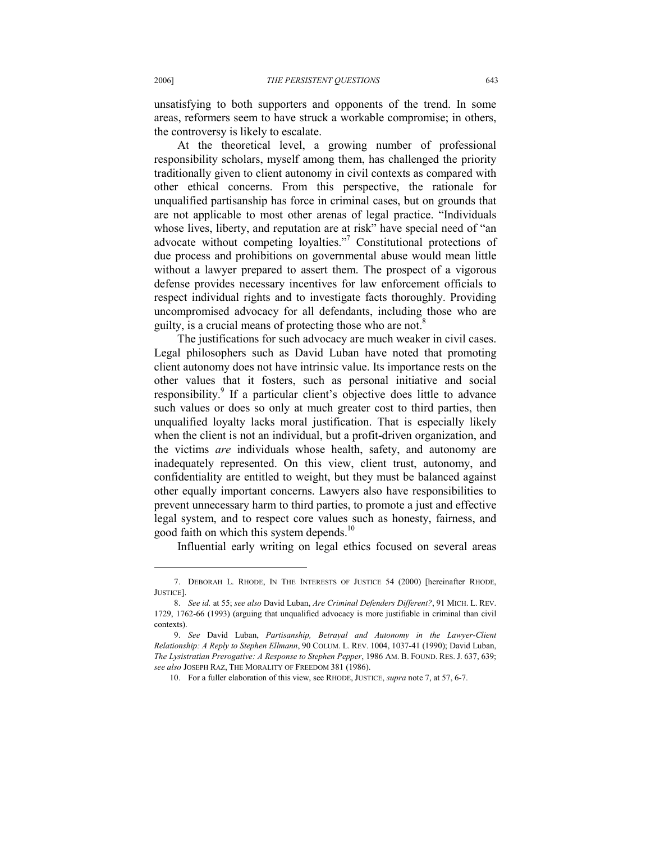unsatisfying to both supporters and opponents of the trend. In some areas, reformers seem to have struck a workable compromise; in others, the controversy is likely to escalate.

At the theoretical level, a growing number of professional responsibility scholars, myself among them, has challenged the priority traditionally given to client autonomy in civil contexts as compared with other ethical concerns. From this perspective, the rationale for unqualified partisanship has force in criminal cases, but on grounds that are not applicable to most other arenas of legal practice. "Individuals whose lives, liberty, and reputation are at risk" have special need of "an advocate without competing loyalties."<sup>7</sup> Constitutional protections of due process and prohibitions on governmental abuse would mean little without a lawyer prepared to assert them. The prospect of a vigorous defense provides necessary incentives for law enforcement officials to respect individual rights and to investigate facts thoroughly. Providing uncompromised advocacy for all defendants, including those who are guilty, is a crucial means of protecting those who are not.<sup>8</sup>

The justifications for such advocacy are much weaker in civil cases. Legal philosophers such as David Luban have noted that promoting client autonomy does not have intrinsic value. Its importance rests on the other values that it fosters, such as personal initiative and social responsibility.<sup>9</sup> If a particular client's objective does little to advance such values or does so only at much greater cost to third parties, then unqualified loyalty lacks moral justification. That is especially likely when the client is not an individual, but a profit-driven organization, and the victims *are* individuals whose health, safety, and autonomy are inadequately represented. On this view, client trust, autonomy, and confidentiality are entitled to weight, but they must be balanced against other equally important concerns. Lawyers also have responsibilities to prevent unnecessary harm to third parties, to promote a just and effective legal system, and to respect core values such as honesty, fairness, and good faith on which this system depends.<sup>10</sup>

Influential early writing on legal ethics focused on several areas

 <sup>7.</sup> DEBORAH L. RHODE, IN THE INTERESTS OF JUSTICE 54 (2000) [hereinafter RHODE, JUSTICE].

 <sup>8.</sup> *See id.* at 55; *see also* David Luban, *Are Criminal Defenders Different?*, 91 MICH. L. REV. 1729, 1762-66 (1993) (arguing that unqualified advocacy is more justifiable in criminal than civil contexts).

 <sup>9.</sup> *See* David Luban, *Partisanship, Betrayal and Autonomy in the Lawyer-Client Relationship: A Reply to Stephen Ellmann*, 90 COLUM. L. REV. 1004, 1037-41 (1990); David Luban, *The Lysistratian Prerogative: A Response to Stephen Pepper*, 1986 AM. B. FOUND. RES. J. 637, 639; *see also* JOSEPH RAZ, THE MORALITY OF FREEDOM 381 (1986).

 <sup>10.</sup> For a fuller elaboration of this view, see RHODE, JUSTICE, *supra* note 7, at 57, 6-7.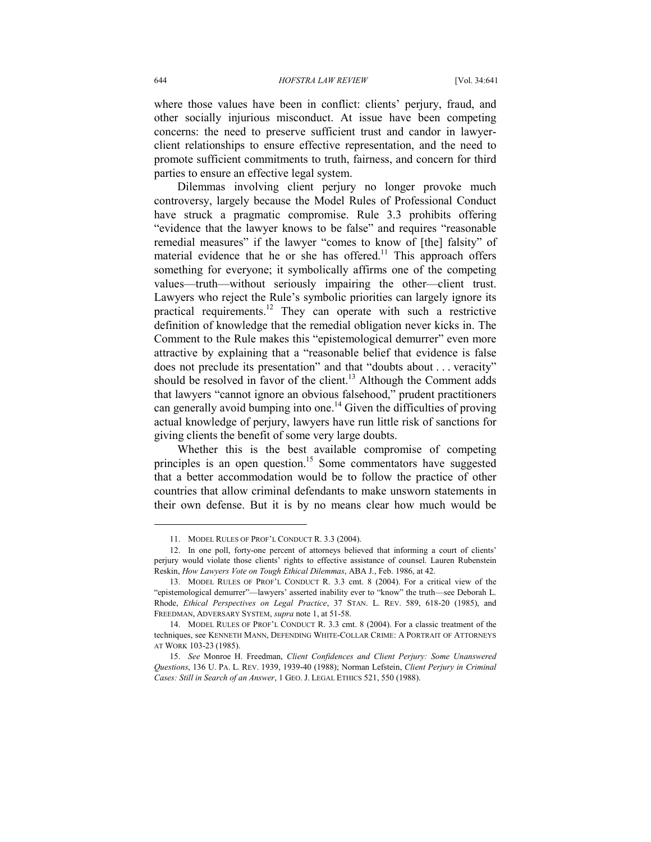where those values have been in conflict: clients' perjury, fraud, and other socially injurious misconduct. At issue have been competing concerns: the need to preserve sufficient trust and candor in lawyerclient relationships to ensure effective representation, and the need to promote sufficient commitments to truth, fairness, and concern for third parties to ensure an effective legal system.

Dilemmas involving client perjury no longer provoke much controversy, largely because the Model Rules of Professional Conduct have struck a pragmatic compromise. Rule 3.3 prohibits offering "evidence that the lawyer knows to be false" and requires "reasonable remedial measures" if the lawyer "comes to know of [the] falsity" of material evidence that he or she has offered.<sup>11</sup> This approach offers something for everyone; it symbolically affirms one of the competing values—truth—without seriously impairing the other—client trust. Lawyers who reject the Rule's symbolic priorities can largely ignore its practical requirements.<sup>12</sup> They can operate with such a restrictive definition of knowledge that the remedial obligation never kicks in. The Comment to the Rule makes this "epistemological demurrer" even more attractive by explaining that a "reasonable belief that evidence is false does not preclude its presentation" and that "doubts about . . . veracity" should be resolved in favor of the client.<sup>13</sup> Although the Comment adds that lawyers "cannot ignore an obvious falsehood," prudent practitioners can generally avoid bumping into one.<sup>14</sup> Given the difficulties of proving actual knowledge of perjury, lawyers have run little risk of sanctions for giving clients the benefit of some very large doubts.

Whether this is the best available compromise of competing principles is an open question.<sup>15</sup> Some commentators have suggested that a better accommodation would be to follow the practice of other countries that allow criminal defendants to make unsworn statements in their own defense. But it is by no means clear how much would be

 <sup>11.</sup> MODEL RULES OF PROF'L CONDUCT R. 3.3 (2004).

 <sup>12.</sup> In one poll, forty-one percent of attorneys believed that informing a court of clients' perjury would violate those clients' rights to effective assistance of counsel. Lauren Rubenstein Reskin, *How Lawyers Vote on Tough Ethical Dilemmas*, ABA J., Feb. 1986, at 42.

 <sup>13.</sup> MODEL RULES OF PROF'L CONDUCT R. 3.3 cmt. 8 (2004). For a critical view of the "epistemological demurrer"—lawyers' asserted inability ever to "know" the truth—see Deborah L. Rhode, *Ethical Perspectives on Legal Practice*, 37 STAN. L. REV. 589, 618-20 (1985), and FREEDMAN, ADVERSARY SYSTEM, *supra* note 1, at 51-58.

 <sup>14.</sup> MODEL RULES OF PROF'L CONDUCT R. 3.3 cmt. 8 (2004). For a classic treatment of the techniques, see KENNETH MANN, DEFENDING WHITE-COLLAR CRIME: A PORTRAIT OF ATTORNEYS AT WORK 103-23 (1985).

 <sup>15.</sup> *See* Monroe H. Freedman, *Client Confidences and Client Perjury: Some Unanswered Questions*, 136 U. PA. L. REV. 1939, 1939-40 (1988); Norman Lefstein, *Client Perjury in Criminal Cases: Still in Search of an Answer*, 1 GEO. J. LEGAL ETHICS 521, 550 (1988).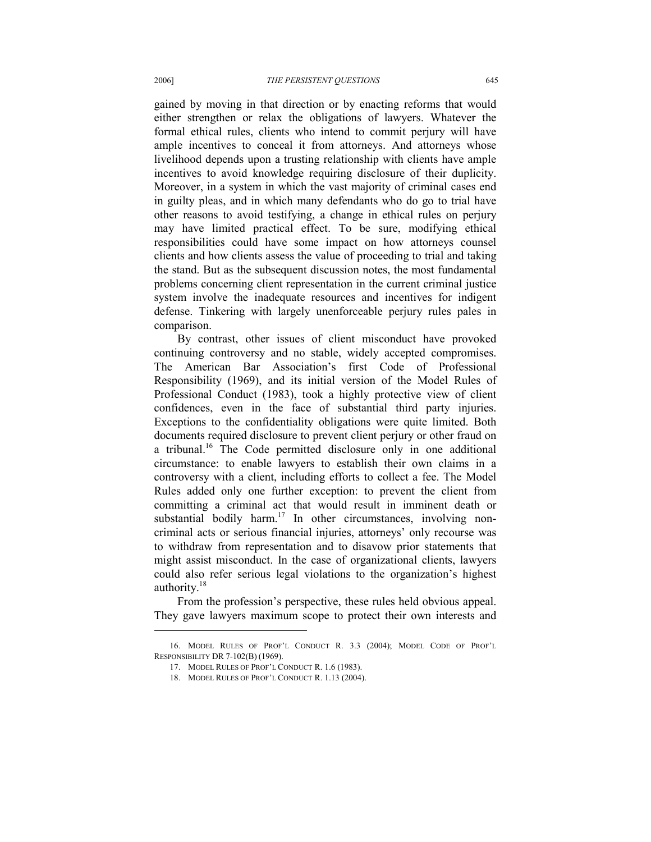gained by moving in that direction or by enacting reforms that would either strengthen or relax the obligations of lawyers. Whatever the formal ethical rules, clients who intend to commit perjury will have ample incentives to conceal it from attorneys. And attorneys whose livelihood depends upon a trusting relationship with clients have ample incentives to avoid knowledge requiring disclosure of their duplicity. Moreover, in a system in which the vast majority of criminal cases end in guilty pleas, and in which many defendants who do go to trial have other reasons to avoid testifying, a change in ethical rules on perjury may have limited practical effect. To be sure, modifying ethical responsibilities could have some impact on how attorneys counsel clients and how clients assess the value of proceeding to trial and taking the stand. But as the subsequent discussion notes, the most fundamental problems concerning client representation in the current criminal justice system involve the inadequate resources and incentives for indigent defense. Tinkering with largely unenforceable perjury rules pales in comparison.

By contrast, other issues of client misconduct have provoked continuing controversy and no stable, widely accepted compromises. The American Bar Association's first Code of Professional Responsibility (1969), and its initial version of the Model Rules of Professional Conduct (1983), took a highly protective view of client confidences, even in the face of substantial third party injuries. Exceptions to the confidentiality obligations were quite limited. Both documents required disclosure to prevent client perjury or other fraud on a tribunal.<sup>16</sup> The Code permitted disclosure only in one additional circumstance: to enable lawyers to establish their own claims in a controversy with a client, including efforts to collect a fee. The Model Rules added only one further exception: to prevent the client from committing a criminal act that would result in imminent death or substantial bodily harm.<sup>17</sup> In other circumstances, involving noncriminal acts or serious financial injuries, attorneys' only recourse was to withdraw from representation and to disavow prior statements that might assist misconduct. In the case of organizational clients, lawyers could also refer serious legal violations to the organization's highest authority.<sup>18</sup>

From the profession's perspective, these rules held obvious appeal. They gave lawyers maximum scope to protect their own interests and

 <sup>16.</sup> MODEL RULES OF PROF'L CONDUCT R. 3.3 (2004); MODEL CODE OF PROF'L RESPONSIBILITY DR 7-102(B) (1969).

 <sup>17.</sup> MODEL RULES OF PROF'L CONDUCT R. 1.6 (1983).

 <sup>18.</sup> MODEL RULES OF PROF'L CONDUCT R. 1.13 (2004).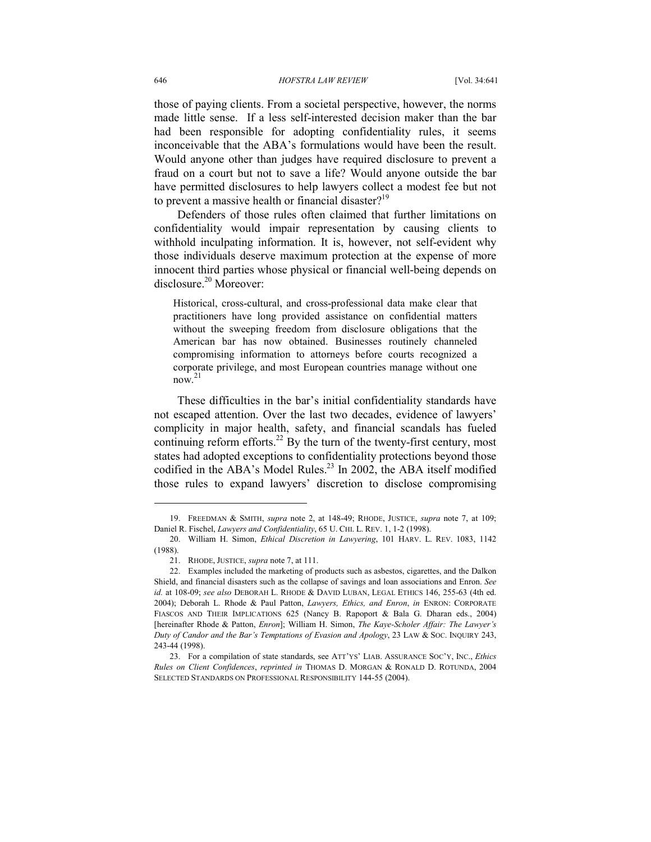those of paying clients. From a societal perspective, however, the norms made little sense. If a less self-interested decision maker than the bar had been responsible for adopting confidentiality rules, it seems inconceivable that the ABA's formulations would have been the result. Would anyone other than judges have required disclosure to prevent a fraud on a court but not to save a life? Would anyone outside the bar have permitted disclosures to help lawyers collect a modest fee but not to prevent a massive health or financial disaster?<sup>19</sup>

Defenders of those rules often claimed that further limitations on confidentiality would impair representation by causing clients to withhold inculpating information. It is, however, not self-evident why those individuals deserve maximum protection at the expense of more innocent third parties whose physical or financial well-being depends on disclosure.<sup>20</sup> Moreover:

Historical, cross-cultural, and cross-professional data make clear that practitioners have long provided assistance on confidential matters without the sweeping freedom from disclosure obligations that the American bar has now obtained. Businesses routinely channeled compromising information to attorneys before courts recognized a corporate privilege, and most European countries manage without one  $\frac{1}{2}$ 

These difficulties in the bar's initial confidentiality standards have not escaped attention. Over the last two decades, evidence of lawyers' complicity in major health, safety, and financial scandals has fueled continuing reform efforts.<sup>22</sup> By the turn of the twenty-first century, most states had adopted exceptions to confidentiality protections beyond those codified in the ABA's Model Rules.<sup>23</sup> In 2002, the ABA itself modified those rules to expand lawyers' discretion to disclose compromising

 <sup>19.</sup> FREEDMAN & SMITH, *supra* note 2, at 148-49; RHODE, JUSTICE, *supra* note 7, at 109; Daniel R. Fischel, *Lawyers and Confidentiality*, 65 U. CHI. L. REV. 1, 1-2 (1998).

 <sup>20.</sup> William H. Simon, *Ethical Discretion in Lawyering*, 101 HARV. L. REV. 1083, 1142 (1988).

 <sup>21.</sup> RHODE, JUSTICE, *supra* note 7, at 111.

 <sup>22.</sup> Examples included the marketing of products such as asbestos, cigarettes, and the Dalkon Shield, and financial disasters such as the collapse of savings and loan associations and Enron. *See id.* at 108-09; *see also* DEBORAH L. RHODE & DAVID LUBAN, LEGAL ETHICS 146, 255-63 (4th ed. 2004); Deborah L. Rhode & Paul Patton, *Lawyers, Ethics, and Enron*, *in* ENRON: CORPORATE FIASCOS AND THEIR IMPLICATIONS 625 (Nancy B. Rapoport & Bala G. Dharan eds., 2004) [hereinafter Rhode & Patton, *Enron*]; William H. Simon, *The Kaye-Scholer Affair: The Lawyer's Duty of Candor and the Bar's Temptations of Evasion and Apology*, 23 LAW & SOC. INQUIRY 243, 243-44 (1998).

 <sup>23.</sup> For a compilation of state standards, see ATT'YS' LIAB. ASSURANCE SOC'Y, INC., *Ethics Rules on Client Confidences*, *reprinted in* THOMAS D. MORGAN & RONALD D. ROTUNDA, 2004 SELECTED STANDARDS ON PROFESSIONAL RESPONSIBILITY 144-55 (2004).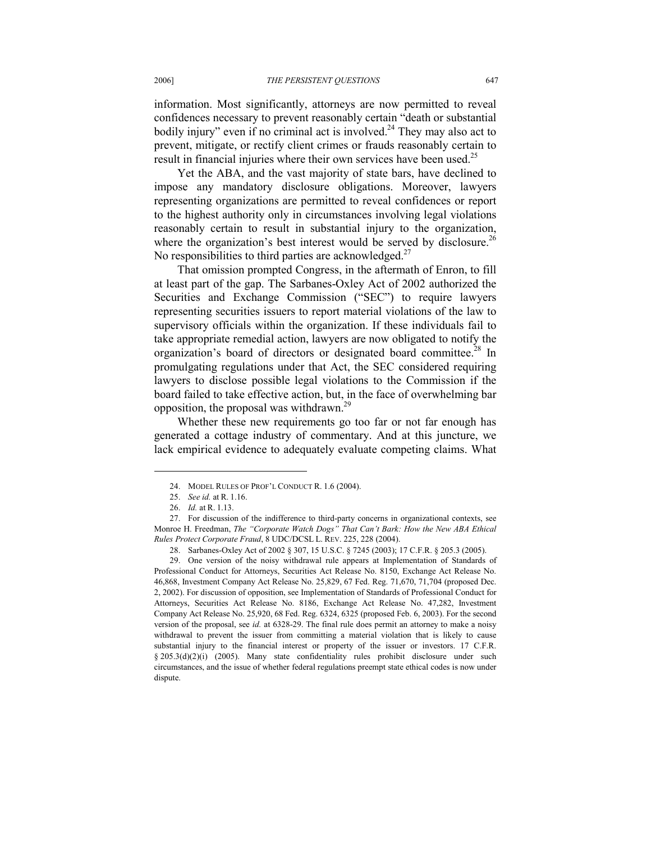information. Most significantly, attorneys are now permitted to reveal confidences necessary to prevent reasonably certain "death or substantial bodily injury" even if no criminal act is involved.<sup>24</sup> They may also act to prevent, mitigate, or rectify client crimes or frauds reasonably certain to result in financial injuries where their own services have been used.<sup>25</sup>

Yet the ABA, and the vast majority of state bars, have declined to impose any mandatory disclosure obligations. Moreover, lawyers representing organizations are permitted to reveal confidences or report to the highest authority only in circumstances involving legal violations reasonably certain to result in substantial injury to the organization, where the organization's best interest would be served by disclosure.<sup>26</sup> No responsibilities to third parties are acknowledged.<sup>27</sup>

That omission prompted Congress, in the aftermath of Enron, to fill at least part of the gap. The Sarbanes-Oxley Act of 2002 authorized the Securities and Exchange Commission ("SEC") to require lawyers representing securities issuers to report material violations of the law to supervisory officials within the organization. If these individuals fail to take appropriate remedial action, lawyers are now obligated to notify the organization's board of directors or designated board committee.<sup>28</sup> In promulgating regulations under that Act, the SEC considered requiring lawyers to disclose possible legal violations to the Commission if the board failed to take effective action, but, in the face of overwhelming bar opposition, the proposal was withdrawn.<sup>29</sup>

Whether these new requirements go too far or not far enough has generated a cottage industry of commentary. And at this juncture, we lack empirical evidence to adequately evaluate competing claims. What

 <sup>24.</sup> MODEL RULES OF PROF'L CONDUCT R. 1.6 (2004).

 <sup>25.</sup> *See id.* at R. 1.16.

 <sup>26.</sup> *Id.* at R. 1.13.

 <sup>27.</sup> For discussion of the indifference to third-party concerns in organizational contexts, see Monroe H. Freedman, *The "Corporate Watch Dogs" That Can't Bark: How the New ABA Ethical Rules Protect Corporate Fraud*, 8 UDC/DCSL L. REV. 225, 228 (2004).

 <sup>28.</sup> Sarbanes-Oxley Act of 2002 § 307, 15 U.S.C. § 7245 (2003); 17 C.F.R. § 205.3 (2005).

 <sup>29.</sup> One version of the noisy withdrawal rule appears at Implementation of Standards of Professional Conduct for Attorneys, Securities Act Release No. 8150, Exchange Act Release No. 46,868, Investment Company Act Release No. 25,829, 67 Fed. Reg. 71,670, 71,704 (proposed Dec. 2, 2002). For discussion of opposition, see Implementation of Standards of Professional Conduct for Attorneys, Securities Act Release No. 8186, Exchange Act Release No. 47,282, Investment Company Act Release No. 25,920, 68 Fed. Reg. 6324, 6325 (proposed Feb. 6, 2003). For the second version of the proposal, see *id.* at 6328-29. The final rule does permit an attorney to make a noisy withdrawal to prevent the issuer from committing a material violation that is likely to cause substantial injury to the financial interest or property of the issuer or investors. 17 C.F.R. § 205.3(d)(2)(i) (2005). Many state confidentiality rules prohibit disclosure under such circumstances, and the issue of whether federal regulations preempt state ethical codes is now under dispute.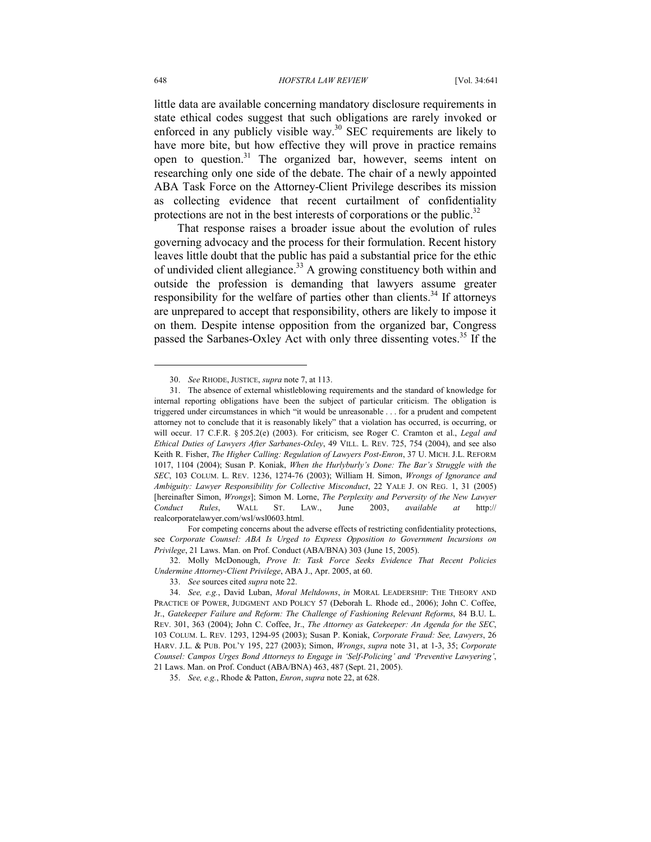little data are available concerning mandatory disclosure requirements in state ethical codes suggest that such obligations are rarely invoked or enforced in any publicly visible way.<sup>30</sup> SEC requirements are likely to have more bite, but how effective they will prove in practice remains open to question.<sup>31</sup> The organized bar, however, seems intent on researching only one side of the debate. The chair of a newly appointed ABA Task Force on the Attorney-Client Privilege describes its mission as collecting evidence that recent curtailment of confidentiality protections are not in the best interests of corporations or the public. $32$ 

That response raises a broader issue about the evolution of rules governing advocacy and the process for their formulation. Recent history leaves little doubt that the public has paid a substantial price for the ethic of undivided client allegiance.<sup>33</sup> A growing constituency both within and outside the profession is demanding that lawyers assume greater responsibility for the welfare of parties other than clients.<sup>34</sup> If attorneys are unprepared to accept that responsibility, others are likely to impose it on them. Despite intense opposition from the organized bar, Congress passed the Sarbanes-Oxley Act with only three dissenting votes.<sup>35</sup> If the

 For competing concerns about the adverse effects of restricting confidentiality protections, see *Corporate Counsel: ABA Is Urged to Express Opposition to Government Incursions on Privilege*, 21 Laws. Man. on Prof. Conduct (ABA/BNA) 303 (June 15, 2005).

 32. Molly McDonough, *Prove It: Task Force Seeks Evidence That Recent Policies Undermine Attorney-Client Privilege*, ABA J., Apr. 2005, at 60.

 <sup>30.</sup> *See* RHODE, JUSTICE, *supra* note 7, at 113.

 <sup>31.</sup> The absence of external whistleblowing requirements and the standard of knowledge for internal reporting obligations have been the subject of particular criticism. The obligation is triggered under circumstances in which "it would be unreasonable . . . for a prudent and competent attorney not to conclude that it is reasonably likely" that a violation has occurred, is occurring, or will occur. 17 C.F.R. § 205.2(e) (2003). For criticism, see Roger C. Cramton et al., *Legal and Ethical Duties of Lawyers After Sarbanes-Oxley*, 49 VILL. L. REV. 725, 754 (2004), and see also Keith R. Fisher, *The Higher Calling: Regulation of Lawyers Post-Enron*, 37 U. MICH. J.L. REFORM 1017, 1104 (2004); Susan P. Koniak, *When the Hurlyburly's Done: The Bar's Struggle with the SEC*, 103 COLUM. L. REV. 1236, 1274-76 (2003); William H. Simon, *Wrongs of Ignorance and Ambiguity: Lawyer Responsibility for Collective Misconduct*, 22 YALE J. ON REG. 1, 31 (2005) [hereinafter Simon, *Wrongs*]; Simon M. Lorne, *The Perplexity and Perversity of the New Lawyer Conduct Rules*, WALL ST. LAW., June 2003, *available at* http:// realcorporatelawyer.com/wsl/wsl0603.html.

 <sup>33.</sup> *See* sources cited *supra* note 22.

 <sup>34.</sup> *See, e.g.*, David Luban, *Moral Meltdowns*, *in* MORAL LEADERSHIP: THE THEORY AND PRACTICE OF POWER, JUDGMENT AND POLICY 57 (Deborah L. Rhode ed., 2006); John C. Coffee, Jr., *Gatekeeper Failure and Reform: The Challenge of Fashioning Relevant Reforms*, 84 B.U. L. REV. 301, 363 (2004); John C. Coffee, Jr., *The Attorney as Gatekeeper: An Agenda for the SEC*, 103 COLUM. L. REV. 1293, 1294-95 (2003); Susan P. Koniak, *Corporate Fraud: See, Lawyers*, 26 HARV. J.L. & PUB. POL'Y 195, 227 (2003); Simon, *Wrongs*, *supra* note 31, at 1-3, 35; *Corporate Counsel: Campos Urges Bond Attorneys to Engage in 'Self-Policing' and 'Preventive Lawyering'*, 21 Laws. Man. on Prof. Conduct (ABA/BNA) 463, 487 (Sept. 21, 2005).

 <sup>35.</sup> *See, e.g.*, Rhode & Patton, *Enron*, *supra* note 22, at 628.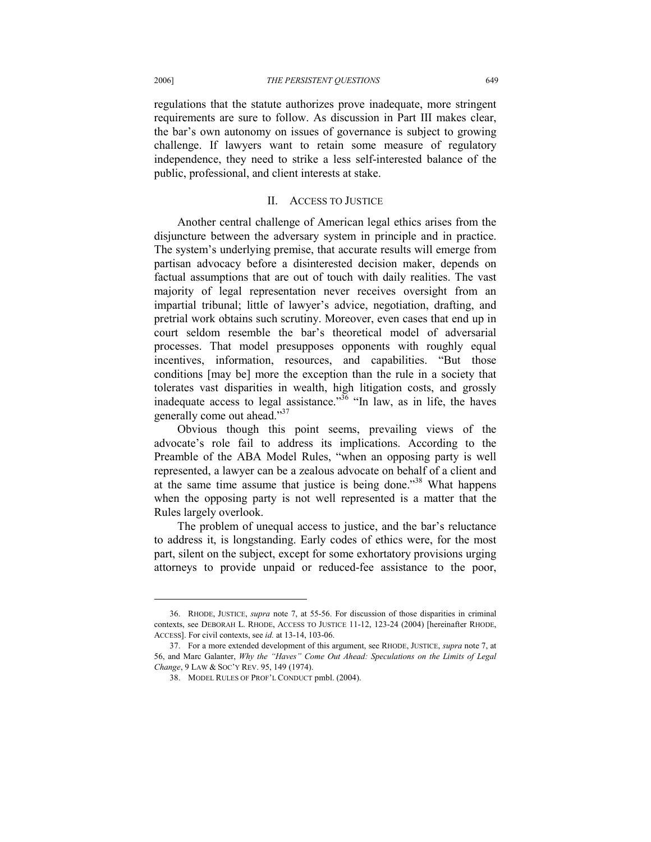regulations that the statute authorizes prove inadequate, more stringent requirements are sure to follow. As discussion in Part III makes clear, the bar's own autonomy on issues of governance is subject to growing challenge. If lawyers want to retain some measure of regulatory independence, they need to strike a less self-interested balance of the public, professional, and client interests at stake.

### II. ACCESS TO JUSTICE

Another central challenge of American legal ethics arises from the disjuncture between the adversary system in principle and in practice. The system's underlying premise, that accurate results will emerge from partisan advocacy before a disinterested decision maker, depends on factual assumptions that are out of touch with daily realities. The vast majority of legal representation never receives oversight from an impartial tribunal; little of lawyer's advice, negotiation, drafting, and pretrial work obtains such scrutiny. Moreover, even cases that end up in court seldom resemble the bar's theoretical model of adversarial processes. That model presupposes opponents with roughly equal incentives, information, resources, and capabilities. "But those conditions [may be] more the exception than the rule in a society that tolerates vast disparities in wealth, high litigation costs, and grossly inadequate access to legal assistance.<sup> $36$ </sup> "In law, as in life, the haves" generally come out ahead."<sup>37</sup>

Obvious though this point seems, prevailing views of the advocate's role fail to address its implications. According to the Preamble of the ABA Model Rules, "when an opposing party is well represented, a lawyer can be a zealous advocate on behalf of a client and at the same time assume that justice is being done."<sup>38</sup> What happens when the opposing party is not well represented is a matter that the Rules largely overlook.

The problem of unequal access to justice, and the bar's reluctance to address it, is longstanding. Early codes of ethics were, for the most part, silent on the subject, except for some exhortatory provisions urging attorneys to provide unpaid or reduced-fee assistance to the poor,

 <sup>36.</sup> RHODE, JUSTICE, *supra* note 7, at 55-56. For discussion of those disparities in criminal contexts, see DEBORAH L. RHODE, ACCESS TO JUSTICE 11-12, 123-24 (2004) [hereinafter RHODE, ACCESS]. For civil contexts, see *id.* at 13-14, 103-06.

 <sup>37.</sup> For a more extended development of this argument, see RHODE, JUSTICE, *supra* note 7, at 56, and Marc Galanter, *Why the "Haves" Come Out Ahead: Speculations on the Limits of Legal Change*, 9 LAW & SOC'Y REV. 95, 149 (1974).

 <sup>38.</sup> MODEL RULES OF PROF'L CONDUCT pmbl. (2004).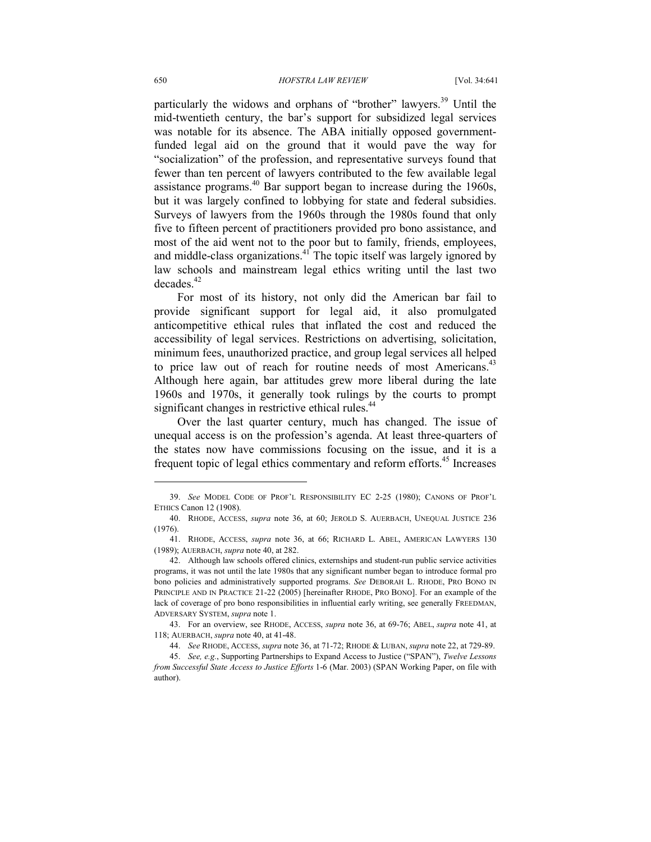particularly the widows and orphans of "brother" lawyers.<sup>39</sup> Until the mid-twentieth century, the bar's support for subsidized legal services was notable for its absence. The ABA initially opposed governmentfunded legal aid on the ground that it would pave the way for "socialization" of the profession, and representative surveys found that fewer than ten percent of lawyers contributed to the few available legal assistance programs.<sup>40</sup> Bar support began to increase during the 1960s, but it was largely confined to lobbying for state and federal subsidies. Surveys of lawyers from the 1960s through the 1980s found that only five to fifteen percent of practitioners provided pro bono assistance, and most of the aid went not to the poor but to family, friends, employees, and middle-class organizations. $41$  The topic itself was largely ignored by law schools and mainstream legal ethics writing until the last two  $decades.<sup>42</sup>$ 

For most of its history, not only did the American bar fail to provide significant support for legal aid, it also promulgated anticompetitive ethical rules that inflated the cost and reduced the accessibility of legal services. Restrictions on advertising, solicitation, minimum fees, unauthorized practice, and group legal services all helped to price law out of reach for routine needs of most Americans.<sup>43</sup> Although here again, bar attitudes grew more liberal during the late 1960s and 1970s, it generally took rulings by the courts to prompt significant changes in restrictive ethical rules.<sup>44</sup>

Over the last quarter century, much has changed. The issue of unequal access is on the profession's agenda. At least three-quarters of the states now have commissions focusing on the issue, and it is a frequent topic of legal ethics commentary and reform efforts.<sup>45</sup> Increases

-

 <sup>39.</sup> *See* MODEL CODE OF PROF'L RESPONSIBILITY EC 2-25 (1980); CANONS OF PROF'L ETHICS Canon 12 (1908).

 <sup>40.</sup> RHODE, ACCESS, *supra* note 36, at 60; JEROLD S. AUERBACH, UNEQUAL JUSTICE 236 (1976).

 <sup>41.</sup> RHODE, ACCESS, *supra* note 36, at 66; RICHARD L. ABEL, AMERICAN LAWYERS 130 (1989); AUERBACH, *supra* note 40, at 282.

 <sup>42.</sup> Although law schools offered clinics, externships and student-run public service activities programs, it was not until the late 1980s that any significant number began to introduce formal pro bono policies and administratively supported programs. *See* DEBORAH L. RHODE, PRO BONO IN PRINCIPLE AND IN PRACTICE 21-22 (2005) [hereinafter RHODE, PRO BONO]. For an example of the lack of coverage of pro bono responsibilities in influential early writing, see generally FREEDMAN, ADVERSARY SYSTEM, *supra* note 1.

 <sup>43.</sup> For an overview, see RHODE, ACCESS, *supra* note 36, at 69-76; ABEL, *supra* note 41, at 118; AUERBACH, *supra* note 40, at 41-48.

 <sup>44.</sup> *See* RHODE, ACCESS, *supra* note 36, at 71-72; RHODE & LUBAN, *supra* note 22, at 729-89.

 <sup>45.</sup> *See, e.g.*, Supporting Partnerships to Expand Access to Justice ("SPAN"), *Twelve Lessons from Successful State Access to Justice Efforts* 1-6 (Mar. 2003) (SPAN Working Paper, on file with author).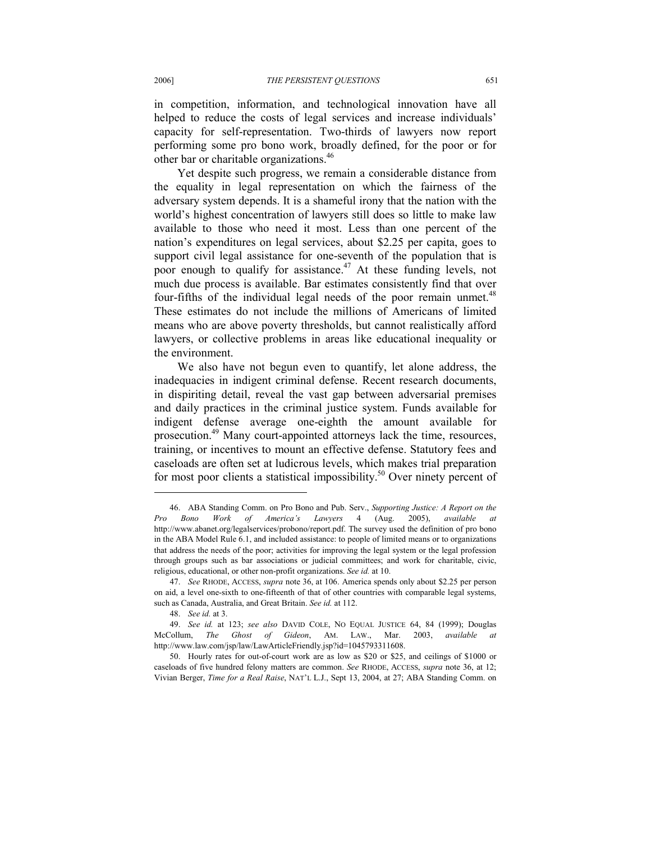in competition, information, and technological innovation have all helped to reduce the costs of legal services and increase individuals' capacity for self-representation. Two-thirds of lawyers now report performing some pro bono work, broadly defined, for the poor or for other bar or charitable organizations.<sup>46</sup>

Yet despite such progress, we remain a considerable distance from the equality in legal representation on which the fairness of the adversary system depends. It is a shameful irony that the nation with the world's highest concentration of lawyers still does so little to make law available to those who need it most. Less than one percent of the nation's expenditures on legal services, about \$2.25 per capita, goes to support civil legal assistance for one-seventh of the population that is poor enough to qualify for assistance.<sup>47</sup> At these funding levels, not much due process is available. Bar estimates consistently find that over four-fifths of the individual legal needs of the poor remain unmet.<sup>48</sup> These estimates do not include the millions of Americans of limited means who are above poverty thresholds, but cannot realistically afford lawyers, or collective problems in areas like educational inequality or the environment.

We also have not begun even to quantify, let alone address, the inadequacies in indigent criminal defense. Recent research documents, in dispiriting detail, reveal the vast gap between adversarial premises and daily practices in the criminal justice system. Funds available for indigent defense average one-eighth the amount available for prosecution.<sup>49</sup> Many court-appointed attorneys lack the time, resources, training, or incentives to mount an effective defense. Statutory fees and caseloads are often set at ludicrous levels, which makes trial preparation for most poor clients a statistical impossibility.<sup>50</sup> Over ninety percent of

 <sup>46.</sup> ABA Standing Comm. on Pro Bono and Pub. Serv., *Supporting Justice: A Report on the Pro Bono Work of America's Lawyers* 4 (Aug. 2005), *available at* http://www.abanet.org/legalservices/probono/report.pdf. The survey used the definition of pro bono in the ABA Model Rule 6.1, and included assistance: to people of limited means or to organizations that address the needs of the poor; activities for improving the legal system or the legal profession through groups such as bar associations or judicial committees; and work for charitable, civic, religious, educational, or other non-profit organizations. *See id.* at 10.

 <sup>47.</sup> *See* RHODE, ACCESS, *supra* note 36, at 106. America spends only about \$2.25 per person on aid, a level one-sixth to one-fifteenth of that of other countries with comparable legal systems, such as Canada, Australia, and Great Britain. *See id.* at 112.

 <sup>48.</sup> *See id.* at 3.

 <sup>49.</sup> *See id.* at 123; *see also* DAVID COLE, NO EQUAL JUSTICE 64, 84 (1999); Douglas McCollum, *The Ghost of Gideon*, AM. LAW., Mar. 2003, *available at*  http://www.law.com/jsp/law/LawArticleFriendly.jsp?id=1045793311608.

 <sup>50.</sup> Hourly rates for out-of-court work are as low as \$20 or \$25, and ceilings of \$1000 or caseloads of five hundred felony matters are common. *See* RHODE, ACCESS, *supra* note 36, at 12; Vivian Berger, *Time for a Real Raise*, NAT'L L.J., Sept 13, 2004, at 27; ABA Standing Comm. on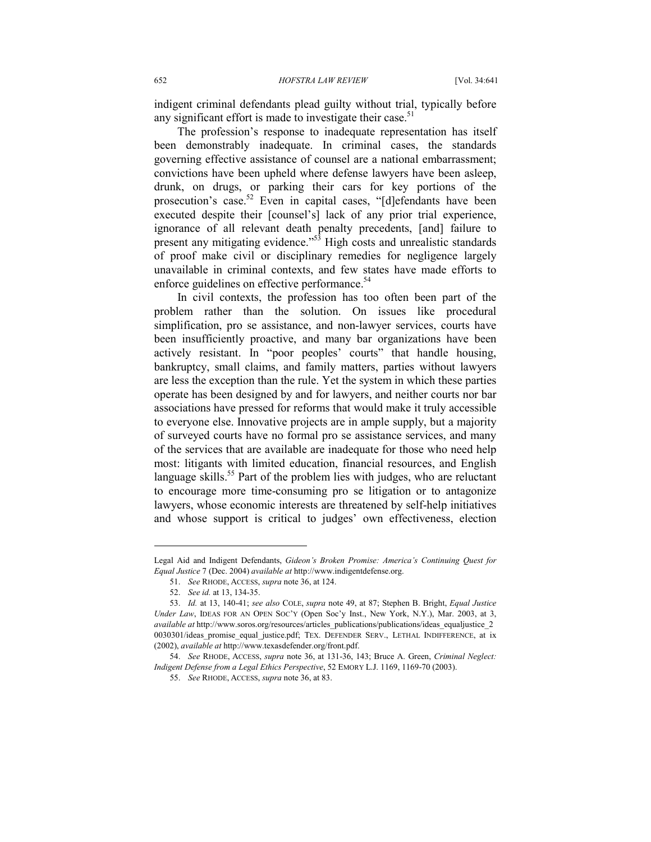indigent criminal defendants plead guilty without trial, typically before any significant effort is made to investigate their case.<sup>51</sup>

The profession's response to inadequate representation has itself been demonstrably inadequate. In criminal cases, the standards governing effective assistance of counsel are a national embarrassment; convictions have been upheld where defense lawyers have been asleep, drunk, on drugs, or parking their cars for key portions of the prosecution's case.<sup>52</sup> Even in capital cases, "[d]efendants have been executed despite their [counsel's] lack of any prior trial experience, ignorance of all relevant death penalty precedents, [and] failure to present any mitigating evidence."<sup>53</sup> High costs and unrealistic standards of proof make civil or disciplinary remedies for negligence largely unavailable in criminal contexts, and few states have made efforts to enforce guidelines on effective performance.<sup>54</sup>

In civil contexts, the profession has too often been part of the problem rather than the solution. On issues like procedural simplification, pro se assistance, and non-lawyer services, courts have been insufficiently proactive, and many bar organizations have been actively resistant. In "poor peoples' courts" that handle housing, bankruptcy, small claims, and family matters, parties without lawyers are less the exception than the rule. Yet the system in which these parties operate has been designed by and for lawyers, and neither courts nor bar associations have pressed for reforms that would make it truly accessible to everyone else. Innovative projects are in ample supply, but a majority of surveyed courts have no formal pro se assistance services, and many of the services that are available are inadequate for those who need help most: litigants with limited education, financial resources, and English language skills.<sup>55</sup> Part of the problem lies with judges, who are reluctant to encourage more time-consuming pro se litigation or to antagonize lawyers, whose economic interests are threatened by self-help initiatives and whose support is critical to judges' own effectiveness, election

-

Legal Aid and Indigent Defendants, *Gideon's Broken Promise: America's Continuing Quest for Equal Justice* 7 (Dec. 2004) *available at* http://www.indigentdefense.org.

 <sup>51.</sup> *See* RHODE, ACCESS, *supra* note 36, at 124.

 <sup>52.</sup> *See id.* at 13, 134-35.

 <sup>53.</sup> *Id.* at 13, 140-41; *see also* COLE, *supra* note 49, at 87; Stephen B. Bright, *Equal Justice Under Law*, IDEAS FOR AN OPEN SOC'Y (Open Soc'y Inst., New York, N.Y.), Mar. 2003, at 3, *available at* http://www.soros.org/resources/articles\_publications/publications/ideas\_equaljustice\_2 0030301/ideas promise equal justice.pdf; TEX. DEFENDER SERV., LETHAL INDIFFERENCE, at ix (2002), *available at* http://www.texasdefender.org/front.pdf.

 <sup>54.</sup> *See* RHODE, ACCESS, *supra* note 36, at 131-36, 143; Bruce A. Green, *Criminal Neglect: Indigent Defense from a Legal Ethics Perspective*, 52 EMORY L.J. 1169, 1169-70 (2003).

 <sup>55.</sup> *See* RHODE, ACCESS, *supra* note 36, at 83.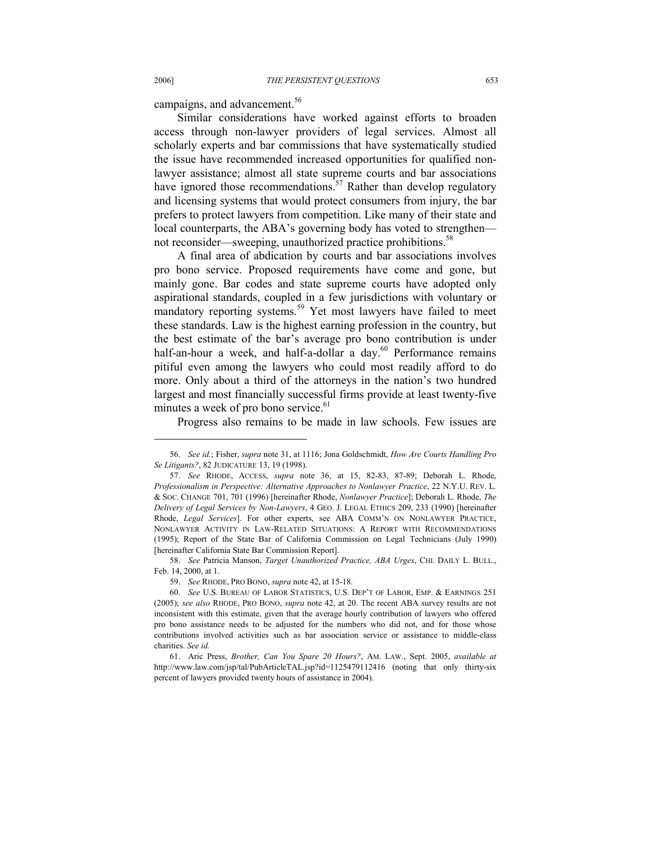campaigns, and advancement.<sup>56</sup>

Similar considerations have worked against efforts to broaden access through non-lawyer providers of legal services. Almost all scholarly experts and bar commissions that have systematically studied the issue have recommended increased opportunities for qualified nonlawyer assistance; almost all state supreme courts and bar associations have ignored those recommendations.<sup>57</sup> Rather than develop regulatory and licensing systems that would protect consumers from injury, the bar prefers to protect lawyers from competition. Like many of their state and local counterparts, the ABA's governing body has voted to strengthen not reconsider—sweeping, unauthorized practice prohibitions.<sup>58</sup>

A final area of abdication by courts and bar associations involves pro bono service. Proposed requirements have come and gone, but mainly gone. Bar codes and state supreme courts have adopted only aspirational standards, coupled in a few jurisdictions with voluntary or mandatory reporting systems.<sup>59</sup> Yet most lawyers have failed to meet these standards. Law is the highest earning profession in the country, but the best estimate of the bar's average pro bono contribution is under half-an-hour a week, and half-a-dollar a day.<sup>60</sup> Performance remains pitiful even among the lawyers who could most readily afford to do more. Only about a third of the attorneys in the nation's two hundred largest and most financially successful firms provide at least twenty-five minutes a week of pro bono service.<sup>61</sup>

Progress also remains to be made in law schools. Few issues are

 <sup>56.</sup> *See id.*; Fisher, *supra* note 31, at 1116; Jona Goldschmidt, *How Are Courts Handling Pro Se Litigants?*, 82 JUDICATURE 13, 19 (1998).

 <sup>57.</sup> *See* RHODE, ACCESS, *supra* note 36, at 15, 82-83, 87-89; Deborah L. Rhode, *Professionalism in Perspective: Alternative Approaches to Nonlawyer Practice*, 22 N.Y.U. REV. L. & SOC. CHANGE 701, 701 (1996) [hereinafter Rhode, *Nonlawyer Practice*]; Deborah L. Rhode, *The Delivery of Legal Services by Non-Lawyers*, 4 GEO. J. LEGAL ETHICS 209, 233 (1990) [hereinafter Rhode, *Legal Services*]. For other experts, see ABA COMM'N ON NONLAWYER PRACTICE, NONLAWYER ACTIVITY IN LAW-RELATED SITUATIONS: A REPORT WITH RECOMMENDATIONS (1995); Report of the State Bar of California Commission on Legal Technicians (July 1990) [hereinafter California State Bar Commission Report].

 <sup>58.</sup> *See* Patricia Manson, *Target Unauthorized Practice, ABA Urges*, CHI. DAILY L. BULL., Feb. 14, 2000, at 1.

 <sup>59.</sup> *See* RHODE, PRO BONO, *supra* note 42, at 15-18.

 <sup>60.</sup> *See* U.S. BUREAU OF LABOR STATISTICS, U.S. DEP'T OF LABOR, EMP. & EARNINGS 251 (2005); *see also* RHODE, PRO BONO, *supra* note 42, at 20. The recent ABA survey results are not inconsistent with this estimate, given that the average hourly contribution of lawyers who offered pro bono assistance needs to be adjusted for the numbers who did not, and for those whose contributions involved activities such as bar association service or assistance to middle-class charities. *See id.*

 <sup>61.</sup> Aric Press, *Brother, Can You Spare 20 Hours?*, AM. LAW., Sept. 2005, *available at* http://www.law.com/jsp/tal/PubArticleTAL.jsp?id=1125479112416 (noting that only thirty-six percent of lawyers provided twenty hours of assistance in 2004).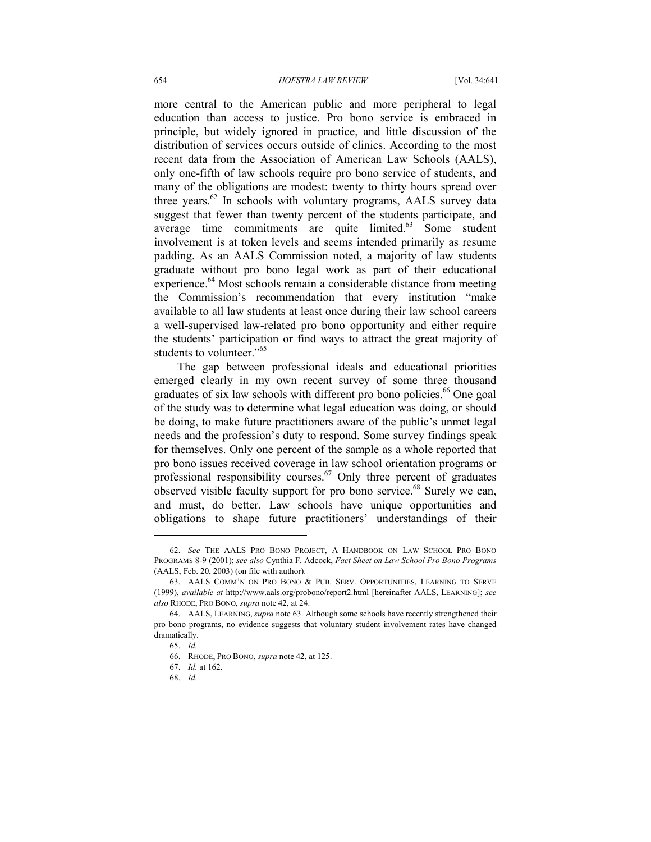more central to the American public and more peripheral to legal education than access to justice. Pro bono service is embraced in principle, but widely ignored in practice, and little discussion of the distribution of services occurs outside of clinics. According to the most recent data from the Association of American Law Schools (AALS), only one-fifth of law schools require pro bono service of students, and many of the obligations are modest: twenty to thirty hours spread over three years. $62$  In schools with voluntary programs, AALS survey data suggest that fewer than twenty percent of the students participate, and average time commitments are quite limited.<sup>63</sup> Some student involvement is at token levels and seems intended primarily as resume padding. As an AALS Commission noted, a majority of law students graduate without pro bono legal work as part of their educational experience.<sup>64</sup> Most schools remain a considerable distance from meeting the Commission's recommendation that every institution "make available to all law students at least once during their law school careers a well-supervised law-related pro bono opportunity and either require the students' participation or find ways to attract the great majority of students to volunteer."<sup>65</sup>

The gap between professional ideals and educational priorities emerged clearly in my own recent survey of some three thousand graduates of six law schools with different pro bono policies.<sup>66</sup> One goal of the study was to determine what legal education was doing, or should be doing, to make future practitioners aware of the public's unmet legal needs and the profession's duty to respond. Some survey findings speak for themselves. Only one percent of the sample as a whole reported that pro bono issues received coverage in law school orientation programs or professional responsibility courses.<sup>67</sup> Only three percent of graduates observed visible faculty support for pro bono service.<sup>68</sup> Surely we can, and must, do better. Law schools have unique opportunities and obligations to shape future practitioners' understandings of their

 <sup>62.</sup> *See* THE AALS PRO BONO PROJECT, A HANDBOOK ON LAW SCHOOL PRO BONO PROGRAMS 8-9 (2001); *see also* Cynthia F. Adcock, *Fact Sheet on Law School Pro Bono Programs* (AALS, Feb. 20, 2003) (on file with author).

 <sup>63.</sup> AALS COMM'N ON PRO BONO & PUB. SERV. OPPORTUNITIES, LEARNING TO SERVE (1999), *available at* http://www.aals.org/probono/report2.html [hereinafter AALS, LEARNING]; *see also* RHODE, PRO BONO, *supra* note 42, at 24.

 <sup>64.</sup> AALS, LEARNING, *supra* note 63. Although some schools have recently strengthened their pro bono programs, no evidence suggests that voluntary student involvement rates have changed dramatically.

 <sup>65.</sup> *Id.*

 <sup>66.</sup> RHODE, PRO BONO, *supra* note 42, at 125.

 <sup>67.</sup> *Id.* at 162.

 <sup>68.</sup> *Id.*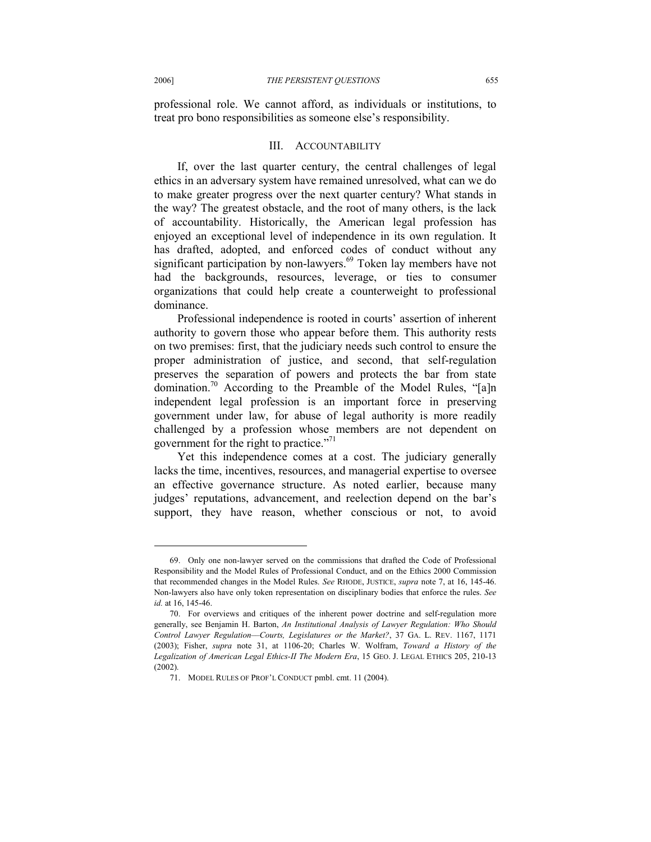professional role. We cannot afford, as individuals or institutions, to treat pro bono responsibilities as someone else's responsibility.

#### III. ACCOUNTABILITY

If, over the last quarter century, the central challenges of legal ethics in an adversary system have remained unresolved, what can we do to make greater progress over the next quarter century? What stands in the way? The greatest obstacle, and the root of many others, is the lack of accountability. Historically, the American legal profession has enjoyed an exceptional level of independence in its own regulation. It has drafted, adopted, and enforced codes of conduct without any significant participation by non-lawyers.<sup>69</sup> Token lay members have not had the backgrounds, resources, leverage, or ties to consumer organizations that could help create a counterweight to professional dominance.

Professional independence is rooted in courts' assertion of inherent authority to govern those who appear before them. This authority rests on two premises: first, that the judiciary needs such control to ensure the proper administration of justice, and second, that self-regulation preserves the separation of powers and protects the bar from state domination.<sup>70</sup> According to the Preamble of the Model Rules, "[a]n independent legal profession is an important force in preserving government under law, for abuse of legal authority is more readily challenged by a profession whose members are not dependent on government for the right to practice."<sup>71</sup>

Yet this independence comes at a cost. The judiciary generally lacks the time, incentives, resources, and managerial expertise to oversee an effective governance structure. As noted earlier, because many judges' reputations, advancement, and reelection depend on the bar's support, they have reason, whether conscious or not, to avoid

-

 <sup>69.</sup> Only one non-lawyer served on the commissions that drafted the Code of Professional Responsibility and the Model Rules of Professional Conduct, and on the Ethics 2000 Commission that recommended changes in the Model Rules. *See* RHODE, JUSTICE, *supra* note 7, at 16, 145-46. Non-lawyers also have only token representation on disciplinary bodies that enforce the rules. *See id.* at 16, 145-46.

 <sup>70.</sup> For overviews and critiques of the inherent power doctrine and self-regulation more generally, see Benjamin H. Barton, *An Institutional Analysis of Lawyer Regulation: Who Should Control Lawyer Regulation––Courts, Legislatures or the Market?*, 37 GA. L. REV. 1167, 1171 (2003); Fisher, *supra* note 31, at 1106-20; Charles W. Wolfram, *Toward a History of the Legalization of American Legal Ethics-II The Modern Era*, 15 GEO. J. LEGAL ETHICS 205, 210-13 (2002).

 <sup>71.</sup> MODEL RULES OF PROF'L CONDUCT pmbl. cmt. 11 (2004).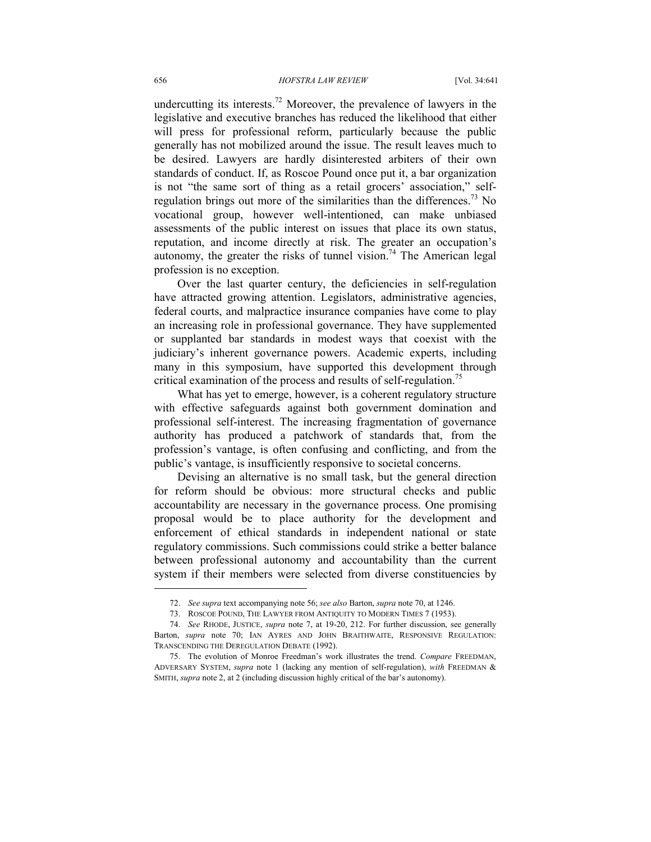undercutting its interests.<sup>72</sup> Moreover, the prevalence of lawyers in the legislative and executive branches has reduced the likelihood that either will press for professional reform, particularly because the public generally has not mobilized around the issue. The result leaves much to be desired. Lawyers are hardly disinterested arbiters of their own standards of conduct. If, as Roscoe Pound once put it, a bar organization is not "the same sort of thing as a retail grocers' association," selfregulation brings out more of the similarities than the differences.<sup>73</sup> No vocational group, however well-intentioned, can make unbiased assessments of the public interest on issues that place its own status, reputation, and income directly at risk. The greater an occupation's autonomy, the greater the risks of tunnel vision.<sup>74</sup> The American legal profession is no exception.

Over the last quarter century, the deficiencies in self-regulation have attracted growing attention. Legislators, administrative agencies, federal courts, and malpractice insurance companies have come to play an increasing role in professional governance. They have supplemented or supplanted bar standards in modest ways that coexist with the judiciary's inherent governance powers. Academic experts, including many in this symposium, have supported this development through critical examination of the process and results of self-regulation.<sup>75</sup>

What has yet to emerge, however, is a coherent regulatory structure with effective safeguards against both government domination and professional self-interest. The increasing fragmentation of governance authority has produced a patchwork of standards that, from the profession's vantage, is often confusing and conflicting, and from the public's vantage, is insufficiently responsive to societal concerns.

Devising an alternative is no small task, but the general direction for reform should be obvious: more structural checks and public accountability are necessary in the governance process. One promising proposal would be to place authority for the development and enforcement of ethical standards in independent national or state regulatory commissions. Such commissions could strike a better balance between professional autonomy and accountability than the current system if their members were selected from diverse constituencies by

 <sup>72.</sup> *See supra* text accompanying note 56; *see also* Barton, *supra* note 70, at 1246.

 <sup>73.</sup> ROSCOE POUND, THE LAWYER FROM ANTIQUITY TO MODERN TIMES 7 (1953).

 <sup>74.</sup> *See* RHODE, JUSTICE, *supra* note 7, at 19-20, 212. For further discussion, see generally Barton, *supra* note 70; IAN AYRES AND JOHN BRAITHWAITE, RESPONSIVE REGULATION: TRANSCENDING THE DEREGULATION DEBATE (1992).

 <sup>75.</sup> The evolution of Monroe Freedman's work illustrates the trend. *Compare* FREEDMAN, ADVERSARY SYSTEM, *supra* note 1 (lacking any mention of self-regulation), *with* FREEDMAN & SMITH, *supra* note 2, at 2 (including discussion highly critical of the bar's autonomy).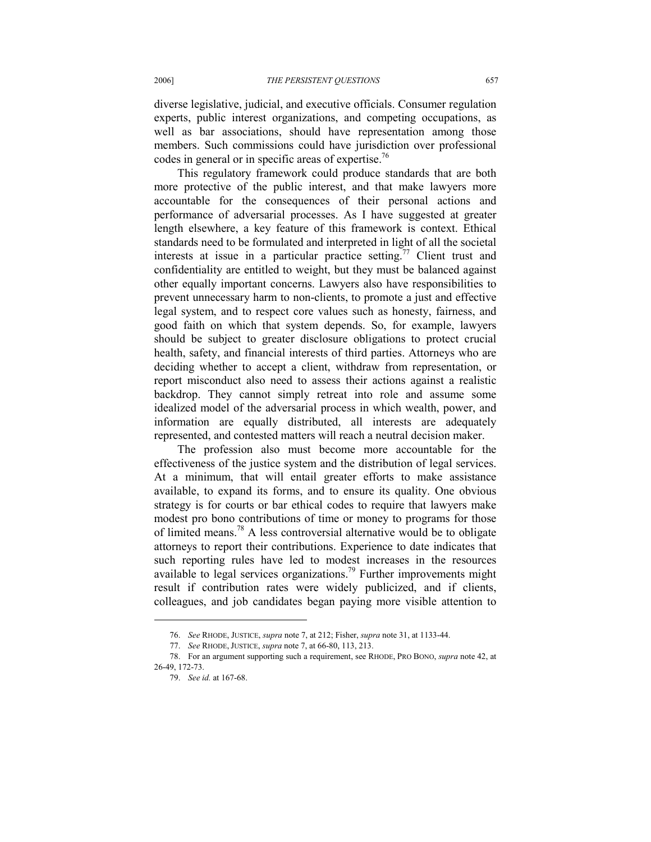diverse legislative, judicial, and executive officials. Consumer regulation experts, public interest organizations, and competing occupations, as well as bar associations, should have representation among those members. Such commissions could have jurisdiction over professional codes in general or in specific areas of expertise.<sup>76</sup>

This regulatory framework could produce standards that are both more protective of the public interest, and that make lawyers more accountable for the consequences of their personal actions and performance of adversarial processes. As I have suggested at greater length elsewhere, a key feature of this framework is context. Ethical standards need to be formulated and interpreted in light of all the societal interests at issue in a particular practice setting.<sup>77</sup> Client trust and confidentiality are entitled to weight, but they must be balanced against other equally important concerns. Lawyers also have responsibilities to prevent unnecessary harm to non-clients, to promote a just and effective legal system, and to respect core values such as honesty, fairness, and good faith on which that system depends. So, for example, lawyers should be subject to greater disclosure obligations to protect crucial health, safety, and financial interests of third parties. Attorneys who are deciding whether to accept a client, withdraw from representation, or report misconduct also need to assess their actions against a realistic backdrop. They cannot simply retreat into role and assume some idealized model of the adversarial process in which wealth, power, and information are equally distributed, all interests are adequately represented, and contested matters will reach a neutral decision maker.

The profession also must become more accountable for the effectiveness of the justice system and the distribution of legal services. At a minimum, that will entail greater efforts to make assistance available, to expand its forms, and to ensure its quality. One obvious strategy is for courts or bar ethical codes to require that lawyers make modest pro bono contributions of time or money to programs for those of limited means.<sup>78</sup> A less controversial alternative would be to obligate attorneys to report their contributions. Experience to date indicates that such reporting rules have led to modest increases in the resources available to legal services organizations.<sup>79</sup> Further improvements might result if contribution rates were widely publicized, and if clients, colleagues, and job candidates began paying more visible attention to

 <sup>76.</sup> *See* RHODE, JUSTICE, *supra* note 7, at 212; Fisher, *supra* note 31, at 1133-44.

 <sup>77.</sup> *See* RHODE, JUSTICE, *supra* note 7, at 66-80, 113, 213.

 <sup>78.</sup> For an argument supporting such a requirement, see RHODE, PRO BONO, *supra* note 42, at 26-49, 172-73.

 <sup>79.</sup> *See id.* at 167-68.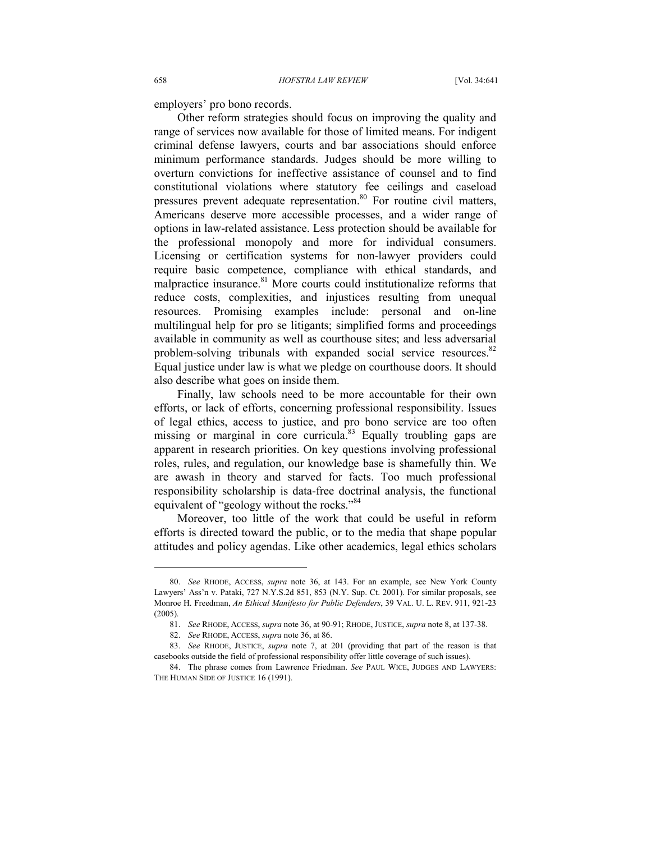employers' pro bono records.

Other reform strategies should focus on improving the quality and range of services now available for those of limited means. For indigent criminal defense lawyers, courts and bar associations should enforce minimum performance standards. Judges should be more willing to overturn convictions for ineffective assistance of counsel and to find constitutional violations where statutory fee ceilings and caseload pressures prevent adequate representation.<sup>80</sup> For routine civil matters, Americans deserve more accessible processes, and a wider range of options in law-related assistance. Less protection should be available for the professional monopoly and more for individual consumers. Licensing or certification systems for non-lawyer providers could require basic competence, compliance with ethical standards, and malpractice insurance.<sup>81</sup> More courts could institutionalize reforms that reduce costs, complexities, and injustices resulting from unequal resources. Promising examples include: personal and on-line multilingual help for pro se litigants; simplified forms and proceedings available in community as well as courthouse sites; and less adversarial problem-solving tribunals with expanded social service resources.<sup>82</sup> Equal justice under law is what we pledge on courthouse doors. It should also describe what goes on inside them.

Finally, law schools need to be more accountable for their own efforts, or lack of efforts, concerning professional responsibility. Issues of legal ethics, access to justice, and pro bono service are too often missing or marginal in core curricula. $83$  Equally troubling gaps are apparent in research priorities. On key questions involving professional roles, rules, and regulation, our knowledge base is shamefully thin. We are awash in theory and starved for facts. Too much professional responsibility scholarship is data-free doctrinal analysis, the functional equivalent of "geology without the rocks."<sup>84</sup>

Moreover, too little of the work that could be useful in reform efforts is directed toward the public, or to the media that shape popular attitudes and policy agendas. Like other academics, legal ethics scholars

 <sup>80.</sup> *See* RHODE, ACCESS, *supra* note 36, at 143. For an example, see New York County Lawyers' Ass'n v. Pataki, 727 N.Y.S.2d 851, 853 (N.Y. Sup. Ct. 2001). For similar proposals, see Monroe H. Freedman, *An Ethical Manifesto for Public Defenders*, 39 VAL. U. L. REV. 911, 921-23 (2005).

 <sup>81.</sup> *See* RHODE, ACCESS, *supra* note 36, at 90-91; RHODE, JUSTICE, *supra* note 8, at 137-38.

 <sup>82.</sup> *See* RHODE, ACCESS, *supra* note 36, at 86.

 <sup>83.</sup> *See* RHODE, JUSTICE, *supra* note 7, at 201 (providing that part of the reason is that casebooks outside the field of professional responsibility offer little coverage of such issues).

 <sup>84.</sup> The phrase comes from Lawrence Friedman. *See* PAUL WICE, JUDGES AND LAWYERS: THE HUMAN SIDE OF JUSTICE 16 (1991).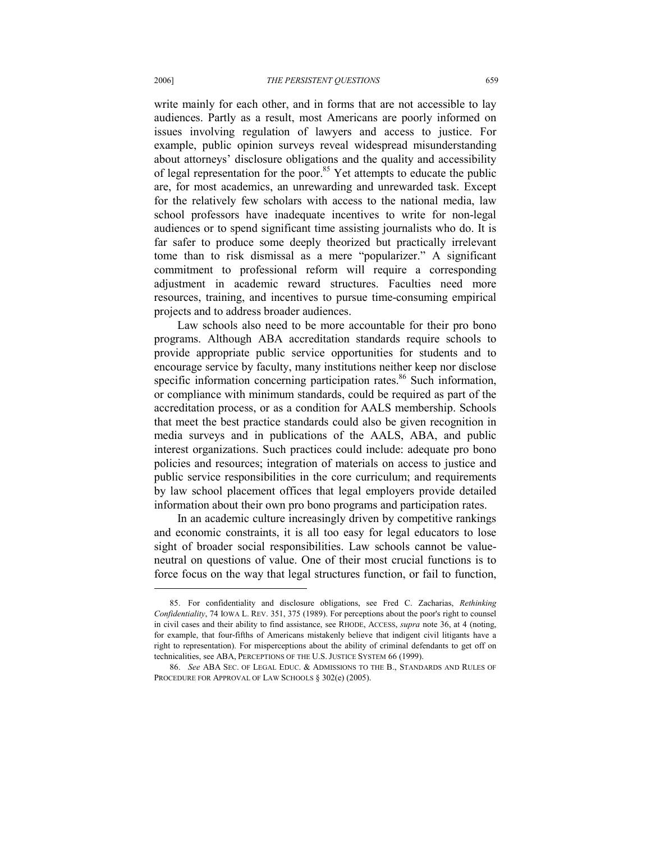write mainly for each other, and in forms that are not accessible to lay audiences. Partly as a result, most Americans are poorly informed on issues involving regulation of lawyers and access to justice. For example, public opinion surveys reveal widespread misunderstanding about attorneys' disclosure obligations and the quality and accessibility of legal representation for the poor. $85$  Yet attempts to educate the public are, for most academics, an unrewarding and unrewarded task. Except for the relatively few scholars with access to the national media, law school professors have inadequate incentives to write for non-legal audiences or to spend significant time assisting journalists who do. It is far safer to produce some deeply theorized but practically irrelevant tome than to risk dismissal as a mere "popularizer." A significant commitment to professional reform will require a corresponding adjustment in academic reward structures. Faculties need more resources, training, and incentives to pursue time-consuming empirical projects and to address broader audiences.

Law schools also need to be more accountable for their pro bono programs. Although ABA accreditation standards require schools to provide appropriate public service opportunities for students and to encourage service by faculty, many institutions neither keep nor disclose specific information concerning participation rates.<sup>86</sup> Such information, or compliance with minimum standards, could be required as part of the accreditation process, or as a condition for AALS membership. Schools that meet the best practice standards could also be given recognition in media surveys and in publications of the AALS, ABA, and public interest organizations. Such practices could include: adequate pro bono policies and resources; integration of materials on access to justice and public service responsibilities in the core curriculum; and requirements by law school placement offices that legal employers provide detailed information about their own pro bono programs and participation rates.

In an academic culture increasingly driven by competitive rankings and economic constraints, it is all too easy for legal educators to lose sight of broader social responsibilities. Law schools cannot be valueneutral on questions of value. One of their most crucial functions is to force focus on the way that legal structures function, or fail to function,

 <sup>85.</sup> For confidentiality and disclosure obligations, see Fred C. Zacharias, *Rethinking Confidentiality*, 74 IOWA L. REV. 351, 375 (1989). For perceptions about the poor's right to counsel in civil cases and their ability to find assistance, see RHODE, ACCESS, *supra* note 36, at 4 (noting, for example, that four-fifths of Americans mistakenly believe that indigent civil litigants have a right to representation). For misperceptions about the ability of criminal defendants to get off on technicalities, see ABA, PERCEPTIONS OF THE U.S. JUSTICE SYSTEM 66 (1999).

 <sup>86.</sup> *See* ABA SEC. OF LEGAL EDUC. & ADMISSIONS TO THE B., STANDARDS AND RULES OF PROCEDURE FOR APPROVAL OF LAW SCHOOLS § 302(e) (2005).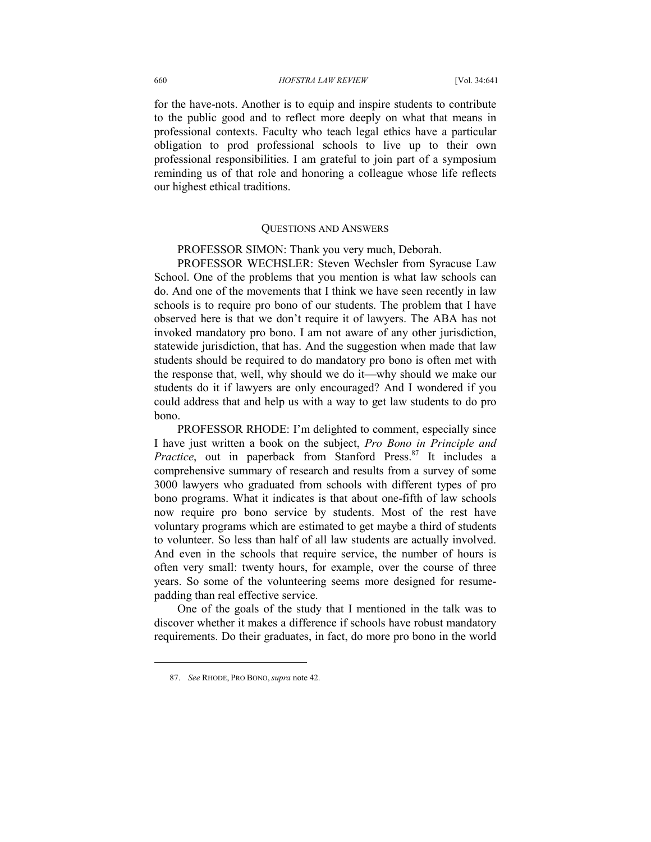for the have-nots. Another is to equip and inspire students to contribute to the public good and to reflect more deeply on what that means in professional contexts. Faculty who teach legal ethics have a particular obligation to prod professional schools to live up to their own professional responsibilities. I am grateful to join part of a symposium reminding us of that role and honoring a colleague whose life reflects our highest ethical traditions.

## QUESTIONS AND ANSWERS

PROFESSOR SIMON: Thank you very much, Deborah.

PROFESSOR WECHSLER: Steven Wechsler from Syracuse Law School. One of the problems that you mention is what law schools can do. And one of the movements that I think we have seen recently in law schools is to require pro bono of our students. The problem that I have observed here is that we don't require it of lawyers. The ABA has not invoked mandatory pro bono. I am not aware of any other jurisdiction, statewide jurisdiction, that has. And the suggestion when made that law students should be required to do mandatory pro bono is often met with the response that, well, why should we do it—why should we make our students do it if lawyers are only encouraged? And I wondered if you could address that and help us with a way to get law students to do pro bono.

PROFESSOR RHODE: I'm delighted to comment, especially since I have just written a book on the subject, *Pro Bono in Principle and Practice*, out in paperback from Stanford Press.<sup>87</sup> It includes a comprehensive summary of research and results from a survey of some 3000 lawyers who graduated from schools with different types of pro bono programs. What it indicates is that about one-fifth of law schools now require pro bono service by students. Most of the rest have voluntary programs which are estimated to get maybe a third of students to volunteer. So less than half of all law students are actually involved. And even in the schools that require service, the number of hours is often very small: twenty hours, for example, over the course of three years. So some of the volunteering seems more designed for resumepadding than real effective service.

One of the goals of the study that I mentioned in the talk was to discover whether it makes a difference if schools have robust mandatory requirements. Do their graduates, in fact, do more pro bono in the world

 <sup>87.</sup> *See* RHODE, PRO BONO, *supra* note 42.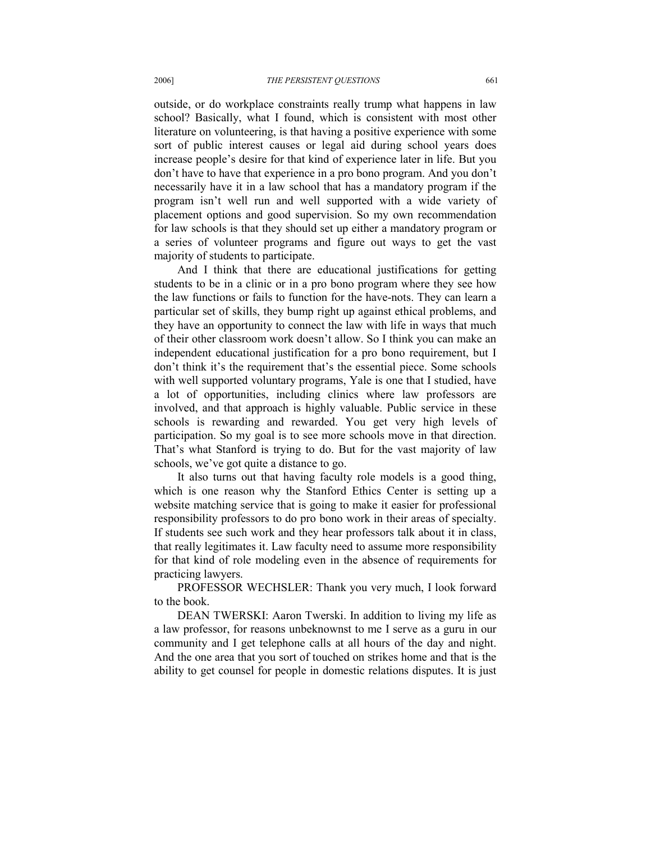outside, or do workplace constraints really trump what happens in law school? Basically, what I found, which is consistent with most other literature on volunteering, is that having a positive experience with some sort of public interest causes or legal aid during school years does increase people's desire for that kind of experience later in life. But you don't have to have that experience in a pro bono program. And you don't necessarily have it in a law school that has a mandatory program if the program isn't well run and well supported with a wide variety of placement options and good supervision. So my own recommendation for law schools is that they should set up either a mandatory program or a series of volunteer programs and figure out ways to get the vast majority of students to participate.

And I think that there are educational justifications for getting students to be in a clinic or in a pro bono program where they see how the law functions or fails to function for the have-nots. They can learn a particular set of skills, they bump right up against ethical problems, and they have an opportunity to connect the law with life in ways that much of their other classroom work doesn't allow. So I think you can make an independent educational justification for a pro bono requirement, but I don't think it's the requirement that's the essential piece. Some schools with well supported voluntary programs, Yale is one that I studied, have a lot of opportunities, including clinics where law professors are involved, and that approach is highly valuable. Public service in these schools is rewarding and rewarded. You get very high levels of participation. So my goal is to see more schools move in that direction. That's what Stanford is trying to do. But for the vast majority of law schools, we've got quite a distance to go.

It also turns out that having faculty role models is a good thing, which is one reason why the Stanford Ethics Center is setting up a website matching service that is going to make it easier for professional responsibility professors to do pro bono work in their areas of specialty. If students see such work and they hear professors talk about it in class, that really legitimates it. Law faculty need to assume more responsibility for that kind of role modeling even in the absence of requirements for practicing lawyers.

PROFESSOR WECHSLER: Thank you very much, I look forward to the book.

DEAN TWERSKI: Aaron Twerski. In addition to living my life as a law professor, for reasons unbeknownst to me I serve as a guru in our community and I get telephone calls at all hours of the day and night. And the one area that you sort of touched on strikes home and that is the ability to get counsel for people in domestic relations disputes. It is just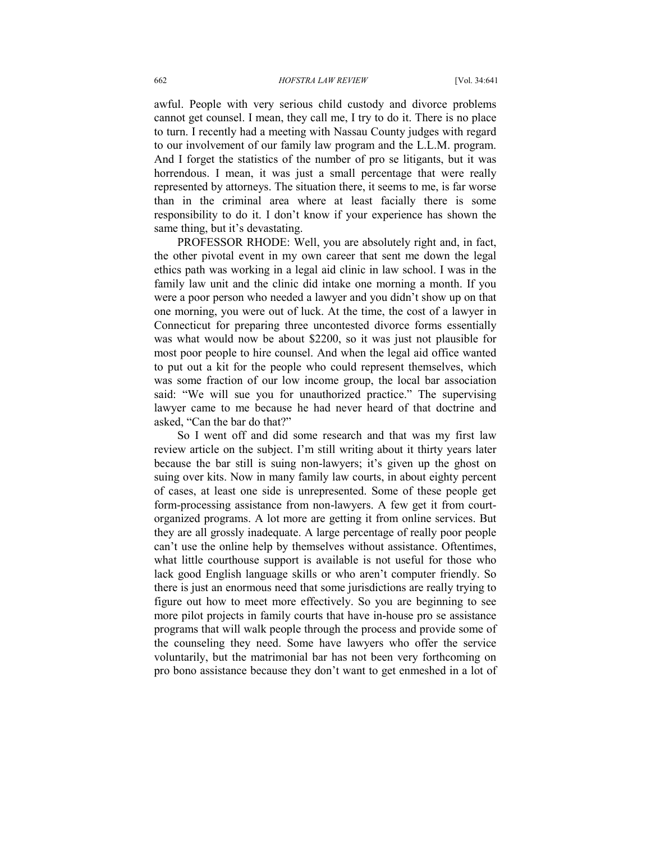awful. People with very serious child custody and divorce problems cannot get counsel. I mean, they call me, I try to do it. There is no place to turn. I recently had a meeting with Nassau County judges with regard to our involvement of our family law program and the L.L.M. program. And I forget the statistics of the number of pro se litigants, but it was horrendous. I mean, it was just a small percentage that were really represented by attorneys. The situation there, it seems to me, is far worse than in the criminal area where at least facially there is some responsibility to do it. I don't know if your experience has shown the same thing, but it's devastating.

PROFESSOR RHODE: Well, you are absolutely right and, in fact, the other pivotal event in my own career that sent me down the legal ethics path was working in a legal aid clinic in law school. I was in the family law unit and the clinic did intake one morning a month. If you were a poor person who needed a lawyer and you didn't show up on that one morning, you were out of luck. At the time, the cost of a lawyer in Connecticut for preparing three uncontested divorce forms essentially was what would now be about \$2200, so it was just not plausible for most poor people to hire counsel. And when the legal aid office wanted to put out a kit for the people who could represent themselves, which was some fraction of our low income group, the local bar association said: "We will sue you for unauthorized practice." The supervising lawyer came to me because he had never heard of that doctrine and asked, "Can the bar do that?"

So I went off and did some research and that was my first law review article on the subject. I'm still writing about it thirty years later because the bar still is suing non-lawyers; it's given up the ghost on suing over kits. Now in many family law courts, in about eighty percent of cases, at least one side is unrepresented. Some of these people get form-processing assistance from non-lawyers. A few get it from courtorganized programs. A lot more are getting it from online services. But they are all grossly inadequate. A large percentage of really poor people can't use the online help by themselves without assistance. Oftentimes, what little courthouse support is available is not useful for those who lack good English language skills or who aren't computer friendly. So there is just an enormous need that some jurisdictions are really trying to figure out how to meet more effectively. So you are beginning to see more pilot projects in family courts that have in-house pro se assistance programs that will walk people through the process and provide some of the counseling they need. Some have lawyers who offer the service voluntarily, but the matrimonial bar has not been very forthcoming on pro bono assistance because they don't want to get enmeshed in a lot of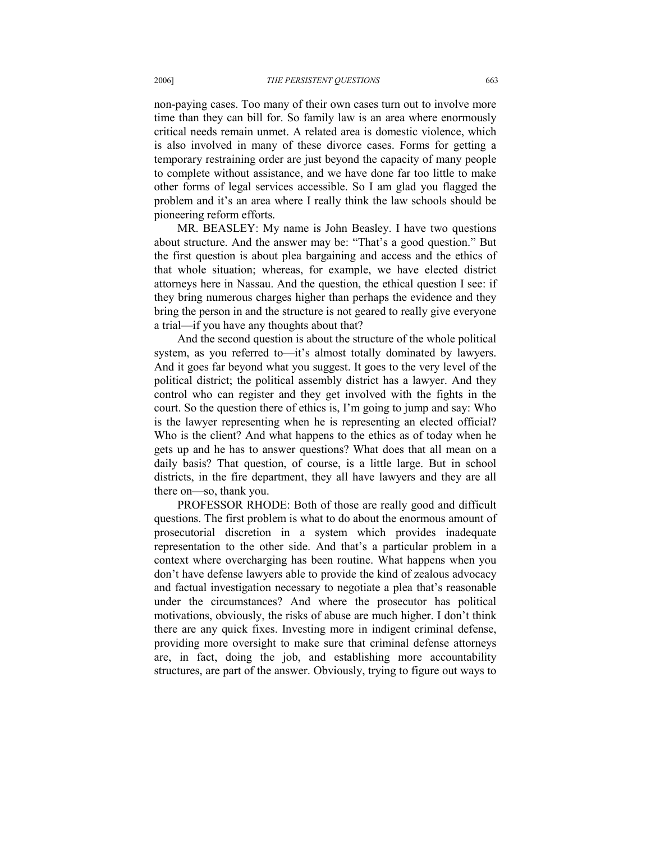non-paying cases. Too many of their own cases turn out to involve more time than they can bill for. So family law is an area where enormously critical needs remain unmet. A related area is domestic violence, which is also involved in many of these divorce cases. Forms for getting a temporary restraining order are just beyond the capacity of many people to complete without assistance, and we have done far too little to make other forms of legal services accessible. So I am glad you flagged the problem and it's an area where I really think the law schools should be pioneering reform efforts.

MR. BEASLEY: My name is John Beasley. I have two questions about structure. And the answer may be: "That's a good question." But the first question is about plea bargaining and access and the ethics of that whole situation; whereas, for example, we have elected district attorneys here in Nassau. And the question, the ethical question I see: if they bring numerous charges higher than perhaps the evidence and they bring the person in and the structure is not geared to really give everyone a trial—if you have any thoughts about that?

And the second question is about the structure of the whole political system, as you referred to—it's almost totally dominated by lawyers. And it goes far beyond what you suggest. It goes to the very level of the political district; the political assembly district has a lawyer. And they control who can register and they get involved with the fights in the court. So the question there of ethics is, I'm going to jump and say: Who is the lawyer representing when he is representing an elected official? Who is the client? And what happens to the ethics as of today when he gets up and he has to answer questions? What does that all mean on a daily basis? That question, of course, is a little large. But in school districts, in the fire department, they all have lawyers and they are all there on—so, thank you.

PROFESSOR RHODE: Both of those are really good and difficult questions. The first problem is what to do about the enormous amount of prosecutorial discretion in a system which provides inadequate representation to the other side. And that's a particular problem in a context where overcharging has been routine. What happens when you don't have defense lawyers able to provide the kind of zealous advocacy and factual investigation necessary to negotiate a plea that's reasonable under the circumstances? And where the prosecutor has political motivations, obviously, the risks of abuse are much higher. I don't think there are any quick fixes. Investing more in indigent criminal defense, providing more oversight to make sure that criminal defense attorneys are, in fact, doing the job, and establishing more accountability structures, are part of the answer. Obviously, trying to figure out ways to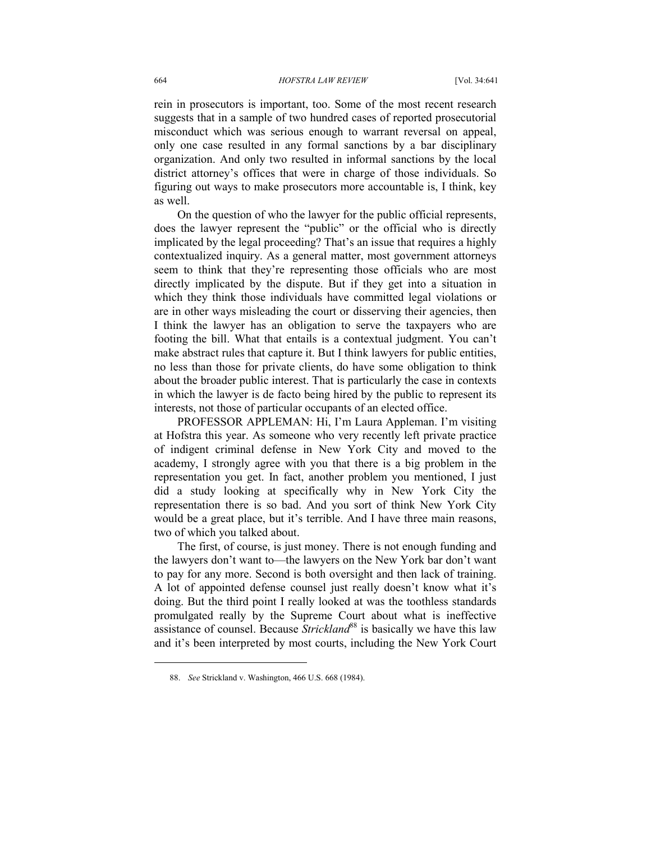rein in prosecutors is important, too. Some of the most recent research suggests that in a sample of two hundred cases of reported prosecutorial misconduct which was serious enough to warrant reversal on appeal, only one case resulted in any formal sanctions by a bar disciplinary organization. And only two resulted in informal sanctions by the local district attorney's offices that were in charge of those individuals. So figuring out ways to make prosecutors more accountable is, I think, key as well.

On the question of who the lawyer for the public official represents, does the lawyer represent the "public" or the official who is directly implicated by the legal proceeding? That's an issue that requires a highly contextualized inquiry. As a general matter, most government attorneys seem to think that they're representing those officials who are most directly implicated by the dispute. But if they get into a situation in which they think those individuals have committed legal violations or are in other ways misleading the court or disserving their agencies, then I think the lawyer has an obligation to serve the taxpayers who are footing the bill. What that entails is a contextual judgment. You can't make abstract rules that capture it. But I think lawyers for public entities, no less than those for private clients, do have some obligation to think about the broader public interest. That is particularly the case in contexts in which the lawyer is de facto being hired by the public to represent its interests, not those of particular occupants of an elected office.

PROFESSOR APPLEMAN: Hi, I'm Laura Appleman. I'm visiting at Hofstra this year. As someone who very recently left private practice of indigent criminal defense in New York City and moved to the academy, I strongly agree with you that there is a big problem in the representation you get. In fact, another problem you mentioned, I just did a study looking at specifically why in New York City the representation there is so bad. And you sort of think New York City would be a great place, but it's terrible. And I have three main reasons, two of which you talked about.

The first, of course, is just money. There is not enough funding and the lawyers don't want to—the lawyers on the New York bar don't want to pay for any more. Second is both oversight and then lack of training. A lot of appointed defense counsel just really doesn't know what it's doing. But the third point I really looked at was the toothless standards promulgated really by the Supreme Court about what is ineffective assistance of counsel. Because *Strickland*<sup>88</sup> is basically we have this law and it's been interpreted by most courts, including the New York Court

 <sup>88.</sup> *See* Strickland v. Washington, 466 U.S. 668 (1984).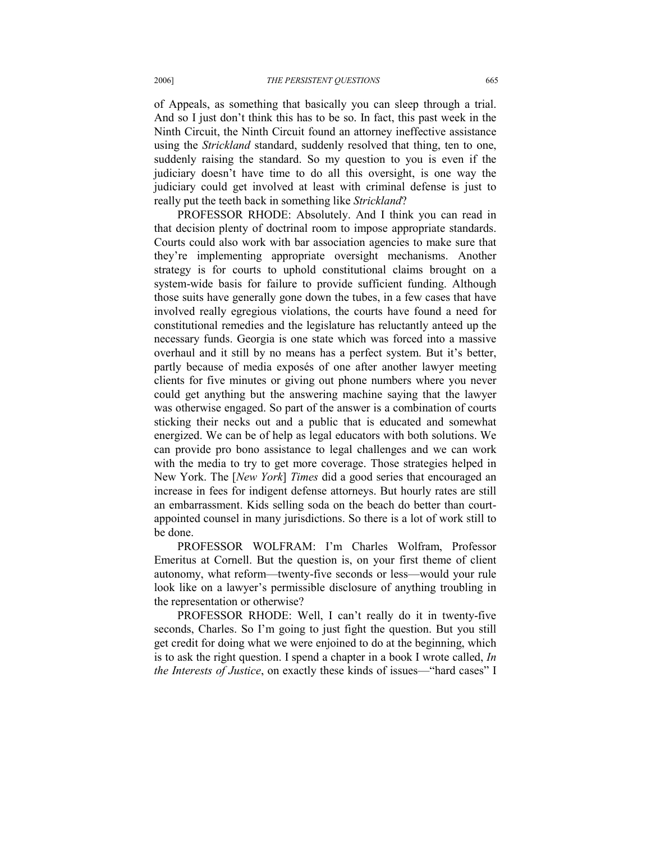of Appeals, as something that basically you can sleep through a trial. And so I just don't think this has to be so. In fact, this past week in the Ninth Circuit, the Ninth Circuit found an attorney ineffective assistance using the *Strickland* standard, suddenly resolved that thing, ten to one, suddenly raising the standard. So my question to you is even if the judiciary doesn't have time to do all this oversight, is one way the judiciary could get involved at least with criminal defense is just to really put the teeth back in something like *Strickland*?

PROFESSOR RHODE: Absolutely. And I think you can read in that decision plenty of doctrinal room to impose appropriate standards. Courts could also work with bar association agencies to make sure that they're implementing appropriate oversight mechanisms. Another strategy is for courts to uphold constitutional claims brought on a system-wide basis for failure to provide sufficient funding. Although those suits have generally gone down the tubes, in a few cases that have involved really egregious violations, the courts have found a need for constitutional remedies and the legislature has reluctantly anteed up the necessary funds. Georgia is one state which was forced into a massive overhaul and it still by no means has a perfect system. But it's better, partly because of media exposés of one after another lawyer meeting clients for five minutes or giving out phone numbers where you never could get anything but the answering machine saying that the lawyer was otherwise engaged. So part of the answer is a combination of courts sticking their necks out and a public that is educated and somewhat energized. We can be of help as legal educators with both solutions. We can provide pro bono assistance to legal challenges and we can work with the media to try to get more coverage. Those strategies helped in New York. The [*New York*] *Times* did a good series that encouraged an increase in fees for indigent defense attorneys. But hourly rates are still an embarrassment. Kids selling soda on the beach do better than courtappointed counsel in many jurisdictions. So there is a lot of work still to be done.

PROFESSOR WOLFRAM: I'm Charles Wolfram, Professor Emeritus at Cornell. But the question is, on your first theme of client autonomy, what reform—twenty-five seconds or less—would your rule look like on a lawyer's permissible disclosure of anything troubling in the representation or otherwise?

PROFESSOR RHODE: Well, I can't really do it in twenty-five seconds, Charles. So I'm going to just fight the question. But you still get credit for doing what we were enjoined to do at the beginning, which is to ask the right question. I spend a chapter in a book I wrote called, *In the Interests of Justice*, on exactly these kinds of issues—"hard cases" I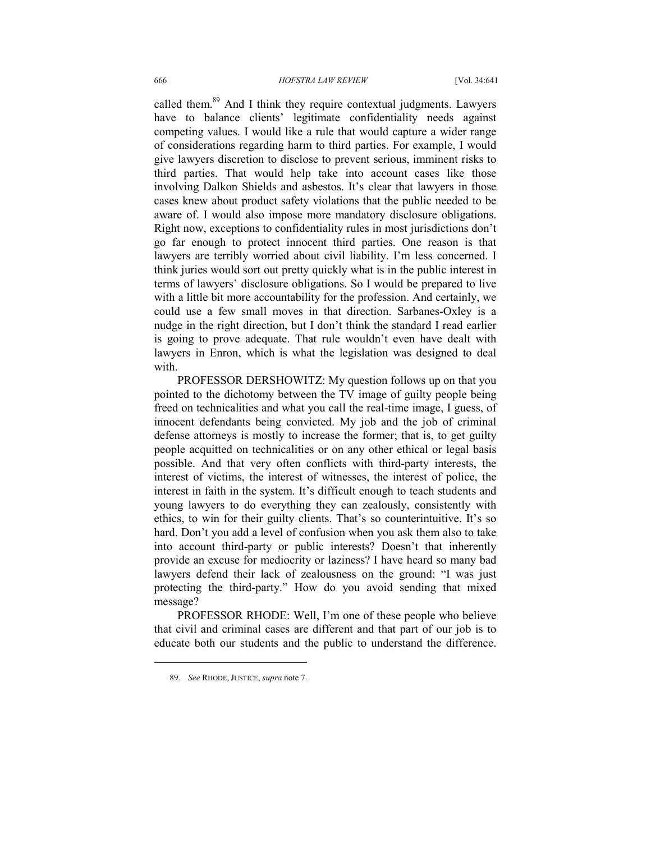called them.<sup>89</sup> And I think they require contextual judgments. Lawyers have to balance clients' legitimate confidentiality needs against competing values. I would like a rule that would capture a wider range of considerations regarding harm to third parties. For example, I would give lawyers discretion to disclose to prevent serious, imminent risks to third parties. That would help take into account cases like those involving Dalkon Shields and asbestos. It's clear that lawyers in those cases knew about product safety violations that the public needed to be aware of. I would also impose more mandatory disclosure obligations. Right now, exceptions to confidentiality rules in most jurisdictions don't go far enough to protect innocent third parties. One reason is that lawyers are terribly worried about civil liability. I'm less concerned. I think juries would sort out pretty quickly what is in the public interest in terms of lawyers' disclosure obligations. So I would be prepared to live with a little bit more accountability for the profession. And certainly, we could use a few small moves in that direction. Sarbanes-Oxley is a nudge in the right direction, but I don't think the standard I read earlier is going to prove adequate. That rule wouldn't even have dealt with lawyers in Enron, which is what the legislation was designed to deal with.

PROFESSOR DERSHOWITZ: My question follows up on that you pointed to the dichotomy between the TV image of guilty people being freed on technicalities and what you call the real-time image, I guess, of innocent defendants being convicted. My job and the job of criminal defense attorneys is mostly to increase the former; that is, to get guilty people acquitted on technicalities or on any other ethical or legal basis possible. And that very often conflicts with third-party interests, the interest of victims, the interest of witnesses, the interest of police, the interest in faith in the system. It's difficult enough to teach students and young lawyers to do everything they can zealously, consistently with ethics, to win for their guilty clients. That's so counterintuitive. It's so hard. Don't you add a level of confusion when you ask them also to take into account third-party or public interests? Doesn't that inherently provide an excuse for mediocrity or laziness? I have heard so many bad lawyers defend their lack of zealousness on the ground: "I was just protecting the third-party." How do you avoid sending that mixed message?

PROFESSOR RHODE: Well, I'm one of these people who believe that civil and criminal cases are different and that part of our job is to educate both our students and the public to understand the difference.

 <sup>89.</sup> *See* RHODE, JUSTICE, *supra* note 7.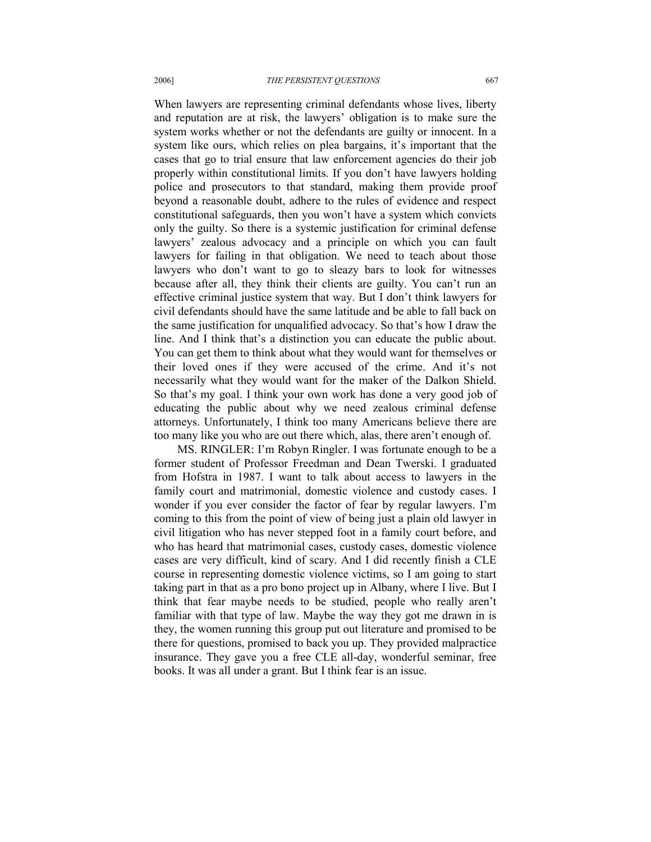When lawyers are representing criminal defendants whose lives, liberty and reputation are at risk, the lawyers' obligation is to make sure the system works whether or not the defendants are guilty or innocent. In a system like ours, which relies on plea bargains, it's important that the cases that go to trial ensure that law enforcement agencies do their job properly within constitutional limits. If you don't have lawyers holding police and prosecutors to that standard, making them provide proof beyond a reasonable doubt, adhere to the rules of evidence and respect constitutional safeguards, then you won't have a system which convicts only the guilty. So there is a systemic justification for criminal defense lawyers' zealous advocacy and a principle on which you can fault lawyers for failing in that obligation. We need to teach about those lawyers who don't want to go to sleazy bars to look for witnesses because after all, they think their clients are guilty. You can't run an effective criminal justice system that way. But I don't think lawyers for civil defendants should have the same latitude and be able to fall back on the same justification for unqualified advocacy. So that's how I draw the line. And I think that's a distinction you can educate the public about. You can get them to think about what they would want for themselves or their loved ones if they were accused of the crime. And it's not necessarily what they would want for the maker of the Dalkon Shield. So that's my goal. I think your own work has done a very good job of educating the public about why we need zealous criminal defense attorneys. Unfortunately, I think too many Americans believe there are too many like you who are out there which, alas, there aren't enough of.

MS. RINGLER: I'm Robyn Ringler. I was fortunate enough to be a former student of Professor Freedman and Dean Twerski. I graduated from Hofstra in 1987. I want to talk about access to lawyers in the family court and matrimonial, domestic violence and custody cases. I wonder if you ever consider the factor of fear by regular lawyers. I'm coming to this from the point of view of being just a plain old lawyer in civil litigation who has never stepped foot in a family court before, and who has heard that matrimonial cases, custody cases, domestic violence cases are very difficult, kind of scary. And I did recently finish a CLE course in representing domestic violence victims, so I am going to start taking part in that as a pro bono project up in Albany, where I live. But I think that fear maybe needs to be studied, people who really aren't familiar with that type of law. Maybe the way they got me drawn in is they, the women running this group put out literature and promised to be there for questions, promised to back you up. They provided malpractice insurance. They gave you a free CLE all-day, wonderful seminar, free books. It was all under a grant. But I think fear is an issue.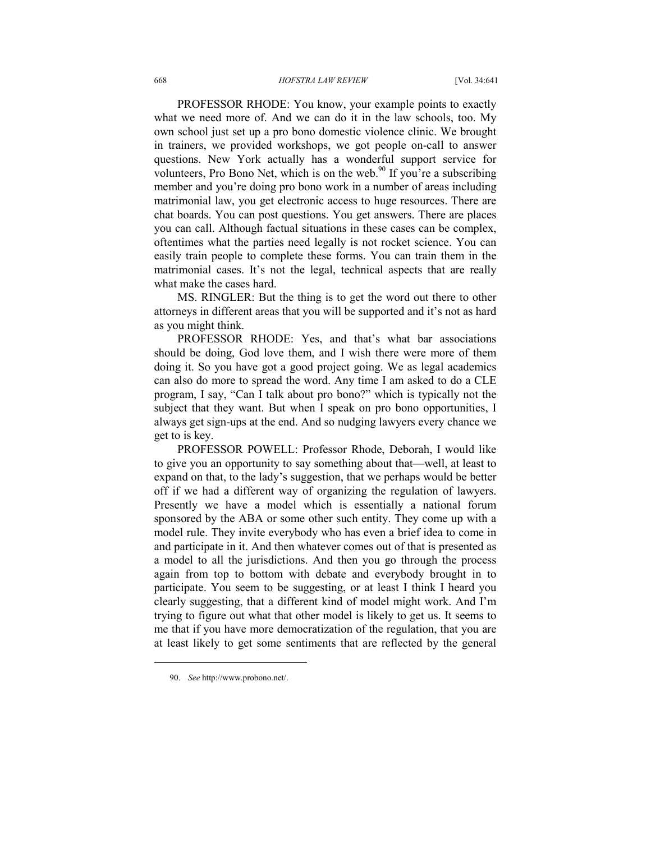PROFESSOR RHODE: You know, your example points to exactly what we need more of. And we can do it in the law schools, too. My own school just set up a pro bono domestic violence clinic. We brought in trainers, we provided workshops, we got people on-call to answer questions. New York actually has a wonderful support service for volunteers, Pro Bono Net, which is on the web.<sup>90</sup> If you're a subscribing member and you're doing pro bono work in a number of areas including matrimonial law, you get electronic access to huge resources. There are chat boards. You can post questions. You get answers. There are places you can call. Although factual situations in these cases can be complex, oftentimes what the parties need legally is not rocket science. You can easily train people to complete these forms. You can train them in the matrimonial cases. It's not the legal, technical aspects that are really what make the cases hard.

MS. RINGLER: But the thing is to get the word out there to other attorneys in different areas that you will be supported and it's not as hard as you might think.

PROFESSOR RHODE: Yes, and that's what bar associations should be doing, God love them, and I wish there were more of them doing it. So you have got a good project going. We as legal academics can also do more to spread the word. Any time I am asked to do a CLE program, I say, "Can I talk about pro bono?" which is typically not the subject that they want. But when I speak on pro bono opportunities, I always get sign-ups at the end. And so nudging lawyers every chance we get to is key.

PROFESSOR POWELL: Professor Rhode, Deborah, I would like to give you an opportunity to say something about that—well, at least to expand on that, to the lady's suggestion, that we perhaps would be better off if we had a different way of organizing the regulation of lawyers. Presently we have a model which is essentially a national forum sponsored by the ABA or some other such entity. They come up with a model rule. They invite everybody who has even a brief idea to come in and participate in it. And then whatever comes out of that is presented as a model to all the jurisdictions. And then you go through the process again from top to bottom with debate and everybody brought in to participate. You seem to be suggesting, or at least I think I heard you clearly suggesting, that a different kind of model might work. And I'm trying to figure out what that other model is likely to get us. It seems to me that if you have more democratization of the regulation, that you are at least likely to get some sentiments that are reflected by the general

 <sup>90.</sup> *See* http://www.probono.net/.